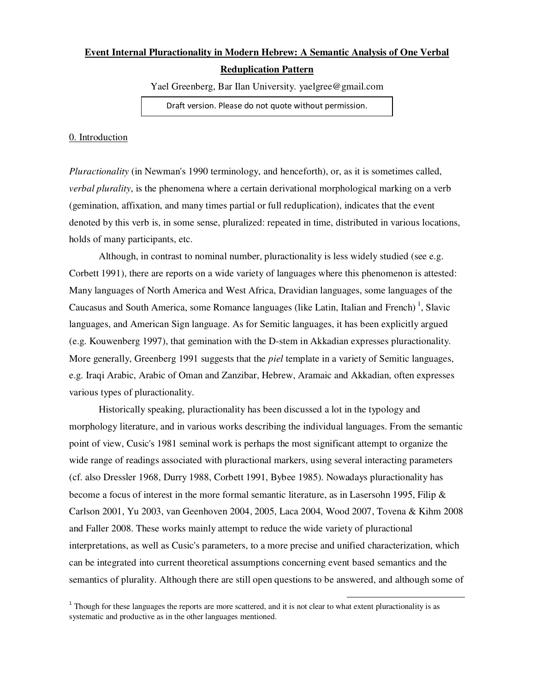# **Event Internal Pluractionality in Modern Hebrew: A Semantic Analysis of One Verbal Reduplication Pattern**

Yael Greenberg, Bar Ilan University. yaelgree@gmail.com

Draft version. Please do not quote without permission.

## 0. Introduction

*Pluractionality* (in Newman's 1990 terminology, and henceforth), or, as it is sometimes called, *verbal plurality*, is the phenomena where a certain derivational morphological marking on a verb (gemination, affixation, and many times partial or full reduplication), indicates that the event denoted by this verb is, in some sense, pluralized: repeated in time, distributed in various locations, holds of many participants, etc.

Although, in contrast to nominal number, pluractionality is less widely studied (see e.g. Corbett 1991), there are reports on a wide variety of languages where this phenomenon is attested: Many languages of North America and West Africa, Dravidian languages, some languages of the Caucasus and South America, some Romance languages (like Latin, Italian and French)<sup>1</sup>, Slavic languages, and American Sign language. As for Semitic languages, it has been explicitly argued (e.g. Kouwenberg 1997), that gemination with the D-stem in Akkadian expresses pluractionality. More generally, Greenberg 1991 suggests that the *piel* template in a variety of Semitic languages, e.g. Iraqi Arabic, Arabic of Oman and Zanzibar, Hebrew, Aramaic and Akkadian, often expresses various types of pluractionality.

Historically speaking, pluractionality has been discussed a lot in the typology and morphology literature, and in various works describing the individual languages. From the semantic point of view, Cusic's 1981 seminal work is perhaps the most significant attempt to organize the wide range of readings associated with pluractional markers, using several interacting parameters (cf. also Dressler 1968, Durry 1988, Corbett 1991, Bybee 1985). Nowadays pluractionality has become a focus of interest in the more formal semantic literature, as in Lasersohn 1995, Filip & Carlson 2001, Yu 2003, van Geenhoven 2004, 2005, Laca 2004, Wood 2007, Tovena & Kihm 2008 and Faller 2008. These works mainly attempt to reduce the wide variety of pluractional interpretations, as well as Cusic's parameters, to a more precise and unified characterization, which can be integrated into current theoretical assumptions concerning event based semantics and the semantics of plurality. Although there are still open questions to be answered, and although some of

**.** 

 $1$  Though for these languages the reports are more scattered, and it is not clear to what extent pluractionality is as systematic and productive as in the other languages mentioned.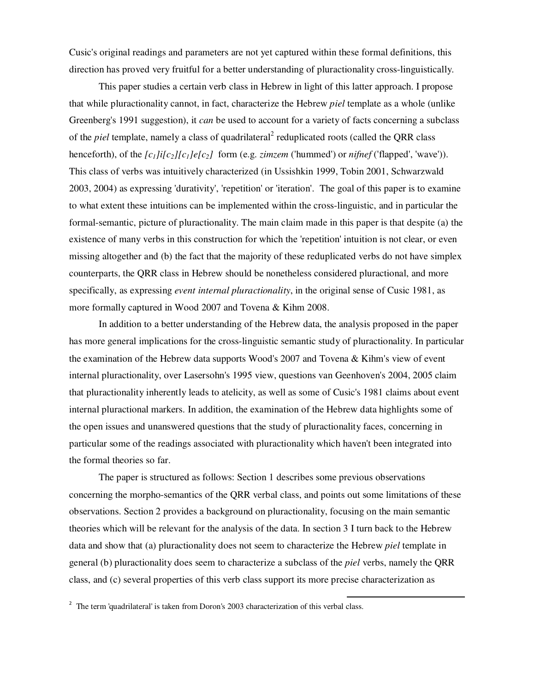Cusic's original readings and parameters are not yet captured within these formal definitions, this direction has proved very fruitful for a better understanding of pluractionality cross-linguistically.

This paper studies a certain verb class in Hebrew in light of this latter approach. I propose that while pluractionality cannot, in fact, characterize the Hebrew *piel* template as a whole (unlike Greenberg's 1991 suggestion), it *can* be used to account for a variety of facts concerning a subclass of the *piel* template, namely a class of quadrilateral<sup>2</sup> reduplicated roots (called the QRR class henceforth), of the  $[c_1]$ *i* $[c_2]$ [ $c_1$ ]e[ $c_2$ ] form (e.g. *zimzem* ('hummed') or *nifnef* ('flapped', 'wave')). This class of verbs was intuitively characterized (in Ussishkin 1999, Tobin 2001, Schwarzwald 2003, 2004) as expressing 'durativity', 'repetition' or 'iteration'. The goal of this paper is to examine to what extent these intuitions can be implemented within the cross-linguistic, and in particular the formal-semantic, picture of pluractionality. The main claim made in this paper is that despite (a) the existence of many verbs in this construction for which the 'repetition' intuition is not clear, or even missing altogether and (b) the fact that the majority of these reduplicated verbs do not have simplex counterparts, the QRR class in Hebrew should be nonetheless considered pluractional, and more specifically, as expressing *event internal pluractionality*, in the original sense of Cusic 1981, as more formally captured in Wood 2007 and Tovena & Kihm 2008.

In addition to a better understanding of the Hebrew data, the analysis proposed in the paper has more general implications for the cross-linguistic semantic study of pluractionality. In particular the examination of the Hebrew data supports Wood's 2007 and Tovena  $\&$  Kihm's view of event internal pluractionality, over Lasersohn's 1995 view, questions van Geenhoven's 2004, 2005 claim that pluractionality inherently leads to atelicity, as well as some of Cusic's 1981 claims about event internal pluractional markers. In addition, the examination of the Hebrew data highlights some of the open issues and unanswered questions that the study of pluractionality faces, concerning in particular some of the readings associated with pluractionality which haven't been integrated into the formal theories so far.

The paper is structured as follows: Section 1 describes some previous observations concerning the morpho-semantics of the QRR verbal class, and points out some limitations of these observations. Section 2 provides a background on pluractionality, focusing on the main semantic theories which will be relevant for the analysis of the data. In section 3 I turn back to the Hebrew data and show that (a) pluractionality does not seem to characterize the Hebrew *piel* template in general (b) pluractionality does seem to characterize a subclass of the *piel* verbs, namely the QRR class, and (c) several properties of this verb class support its more precise characterization as

<sup>&</sup>lt;sup>2</sup> The term 'quadrilateral' is taken from Doron's 2003 characterization of this verbal class.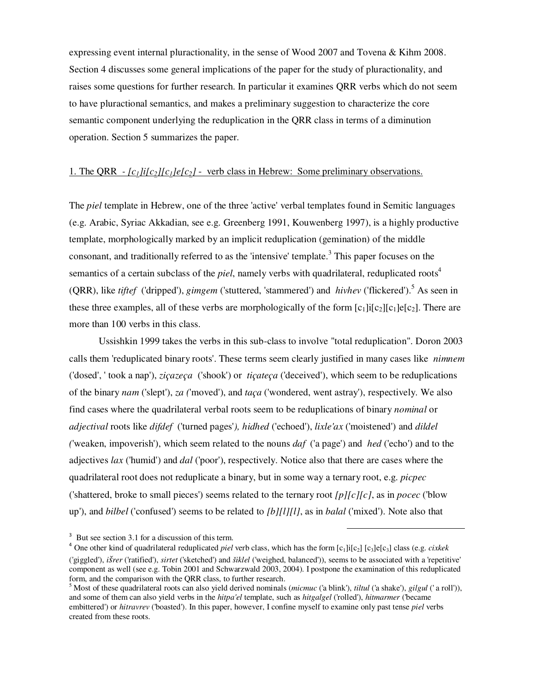expressing event internal pluractionality, in the sense of Wood 2007 and Tovena & Kihm 2008. Section 4 discusses some general implications of the paper for the study of pluractionality, and raises some questions for further research. In particular it examines QRR verbs which do not seem to have pluractional semantics, and makes a preliminary suggestion to characterize the core semantic component underlying the reduplication in the QRR class in terms of a diminution operation. Section 5 summarizes the paper.

#### 1. The QRR  $[c_1]$ *i* $[c_2]$  $[c_1]$ *e* $[c_2]$  - verb class in Hebrew: Some preliminary observations.

The *piel* template in Hebrew, one of the three 'active' verbal templates found in Semitic languages (e.g. Arabic, Syriac Akkadian, see e.g. Greenberg 1991, Kouwenberg 1997), is a highly productive template, morphologically marked by an implicit reduplication (gemination) of the middle consonant, and traditionally referred to as the 'intensive' template.<sup>3</sup> This paper focuses on the semantics of a certain subclass of the *piel*, namely verbs with quadrilateral, reduplicated roots<sup>4</sup> (QRR), like *tiftef* ('dripped'), *gimgem* ('stuttered, 'stammered') and *hivhev* ('flickered').<sup>5</sup> As seen in these three examples, all of these verbs are morphologically of the form  $[c_1]i[c_2][c_1]e[c_2]$ . There are more than 100 verbs in this class.

 Ussishkin 1999 takes the verbs in this sub-class to involve "total reduplication". Doron 2003 calls them 'reduplicated binary roots'. These terms seem clearly justified in many cases like *nimnem*  ('dosed', ' took a nap'), *zi*ҁ*aze*ҁ*a* ('shook') or *ti*ҁ*ate*ҁ*a* ('deceived'), which seem to be reduplications of the binary *nam* ('slept'), *za (*'moved'), and *ta*ҁ*a* ('wondered, went astray'), respectively. We also find cases where the quadrilateral verbal roots seem to be reduplications of binary *nominal* or *adjectival* roots like *difdef* ('turned pages'*), hidhed* ('echoed'), *lixle'ax* ('moistened') and *dildel (*'weaken, impoverish'), which seem related to the nouns *daf* ('a page') and *hed* ('echo') and to the adjectives *lax* ('humid') and *dal* ('poor'), respectively. Notice also that there are cases where the quadrilateral root does not reduplicate a binary, but in some way a ternary root, e.g. *picpec* ('shattered, broke to small pieces') seems related to the ternary root *[p][c][c]*, as in *pocec* ('blow up'), and *bilbel* ('confused') seems to be related to *[b][l][l]*, as in *balal* ('mixed'). Note also that

<sup>&</sup>lt;sup>3</sup> But see section 3.1 for a discussion of this term.

<sup>&</sup>lt;sup>4</sup> One other kind of quadrilateral reduplicated *piel* verb class, which has the form [c<sub>1</sub>]i[c<sub>2</sub>] [c<sub>3</sub>]e[c<sub>3</sub>] class (e.g. *cixkek* ('giggled'), *išrer* ('ratified'), *sirtet* ('sketched') and *šiklel* ('weighed, balanced')), seems to be associated with a 'repetitive' component as well (see e.g. Tobin 2001 and Schwarzwald 2003, 2004). I postpone the examination of this reduplicated form, and the comparison with the QRR class, to further research.

<sup>5</sup> Most of these quadrilateral roots can also yield derived nominals (*micmuc* ('a blink'), *tiltul* ('a shake'), *gilgul* (' a roll')), and some of them can also yield verbs in the *hitpa'el* template, such as *hitgalgel* ('rolled'), *hitmarmer* ('became embittered') or *hitravrev* ('boasted'). In this paper, however, I confine myself to examine only past tense *piel* verbs created from these roots.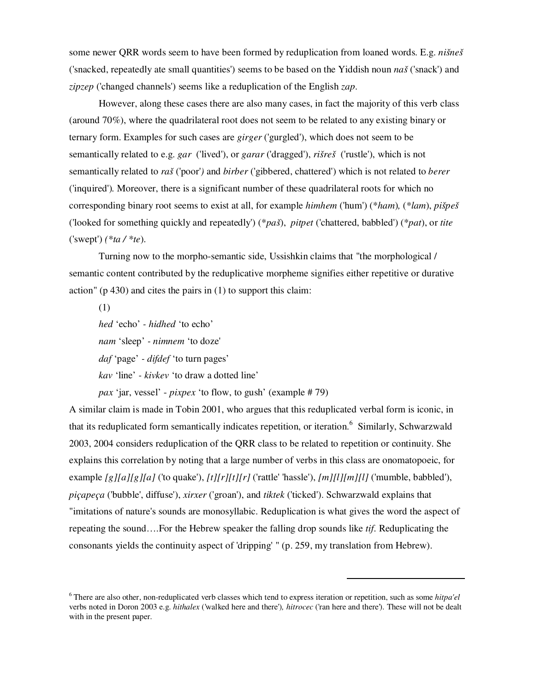some newer QRR words seem to have been formed by reduplication from loaned words. E.g. *nišneš* ('snacked, repeatedly ate small quantities') seems to be based on the Yiddish noun *naš* ('snack') and *zipzep* ('changed channels') seems like a reduplication of the English *zap*.

 However, along these cases there are also many cases, in fact the majority of this verb class (around 70%), where the quadrilateral root does not seem to be related to any existing binary or ternary form. Examples for such cases are *girger* ('gurgled'), which does not seem to be semantically related to e.g. *gar* ('lived'), or *garar* ('dragged'), *rišreš* ('rustle'), which is not semantically related to *raš* ('poor'*)* and *birber* ('gibbered, chattered') which is not related to *berer* ('inquired')*.* Moreover, there is a significant number of these quadrilateral roots for which no corresponding binary root seems to exist at all, for example *himhem* ('hum') (\**ham*)*,* (*\*lam*), *pišpeš* ('looked for something quickly and repeatedly') (\**paš*), *pitpet* ('chattered, babbled') (\**pat*), or *tite* ('swept') *(\*ta / \*te*).

 Turning now to the morpho-semantic side, Ussishkin claims that "the morphological / semantic content contributed by the reduplicative morpheme signifies either repetitive or durative action" (p 430) and cites the pairs in (1) to support this claim:

(1)

*hed* 'echo' *- hidhed* 'to echo'

*nam* 'sleep' *- nimnem* 'to doze'

*daf* 'page' *- difdef* 'to turn pages'

*kav* 'line' *- kivkev* 'to draw a dotted line'

*pax* 'jar, vessel' - *pixpex* 'to flow, to gush' (example # 79)

A similar claim is made in Tobin 2001, who argues that this reduplicated verbal form is iconic, in that its reduplicated form semantically indicates repetition, or iteration.<sup>6</sup> Similarly, Schwarzwald 2003, 2004 considers reduplication of the QRR class to be related to repetition or continuity. She explains this correlation by noting that a large number of verbs in this class are onomatopoeic, for example *[g][a][g][a]* ('to quake'), *[t][r][t][r]* ('rattle' 'hassle'), *[m][l][m][l]* ('mumble, babbled'), *pi*ҁ*ape*ҁ*a* ('bubble', diffuse'), *xirxer* ('groan'), and *tiktek* ('ticked'). Schwarzwald explains that "imitations of nature's sounds are monosyllabic. Reduplication is what gives the word the aspect of repeating the sound….For the Hebrew speaker the falling drop sounds like *tif*. Reduplicating the consonants yields the continuity aspect of 'dripping' " (p. 259, my translation from Hebrew).

<sup>6</sup> There are also other, non-reduplicated verb classes which tend to express iteration or repetition, such as some *hitpa'el*  verbs noted in Doron 2003 e.g. *hithalex* ('walked here and there')*, hitrocec* ('ran here and there'). These will not be dealt with in the present paper.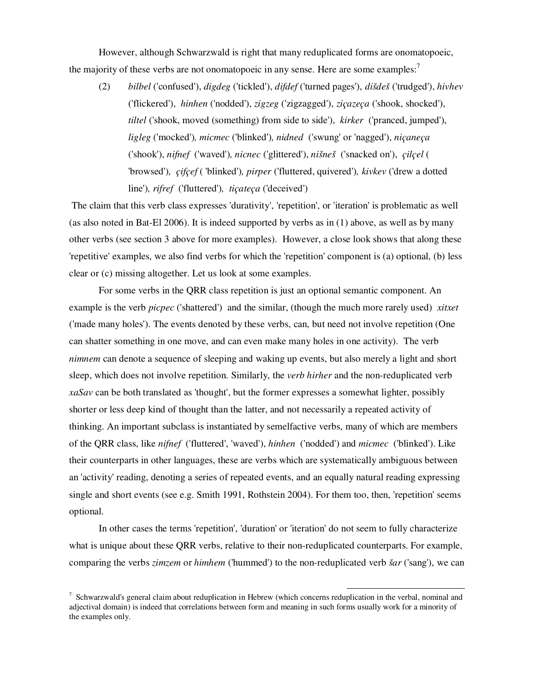However, although Schwarzwald is right that many reduplicated forms are onomatopoeic, the majority of these verbs are not onomatopoeic in any sense. Here are some examples: $\prime$ 

(2) *bilbel* ('confused'), *digdeg* ('tickled'), *difdef* ('turned pages'), *dišdeš* ('trudged'), *hivhev* ('flickered'), *hinhen* ('nodded'), *zigzeg* ('zigzagged'), *zi*ҁ*aze*ҁ*a* ('shook, shocked'), *tiltel* ('shook, moved (something) from side to side'), *kirker* ('pranced, jumped'), *ligleg* ('mocked')*, micmec* ('blinked')*, nidned* ('swung' or 'nagged'), *ni*ҁ*ane*ҁ*a*  ('shook'), *nifnef* ('waved')*, nicnec* ('glittered'), *nišneš* ('snacked on'), ҁ*il*ҁ*el* ( 'browsed')*,* ҁ*if*ҁ*ef* ( 'blinked')*, pirper* ('fluttered, quivered')*, kivkev* ('drew a dotted line')*, rifref* ('fluttered')*, ti*ҁ*ate*ҁ*a* ('deceived')

 The claim that this verb class expresses 'durativity', 'repetition', or 'iteration' is problematic as well (as also noted in Bat-El 2006). It is indeed supported by verbs as in (1) above, as well as by many other verbs (see section 3 above for more examples). However, a close look shows that along these 'repetitive' examples, we also find verbs for which the 'repetition' component is (a) optional, (b) less clear or (c) missing altogether. Let us look at some examples.

For some verbs in the QRR class repetition is just an optional semantic component. An example is the verb *picpec* ('shattered') and the similar, (though the much more rarely used) *xitxet* ('made many holes'). The events denoted by these verbs, can, but need not involve repetition (One can shatter something in one move, and can even make many holes in one activity). The verb *nimnem* can denote a sequence of sleeping and waking up events, but also merely a light and short sleep, which does not involve repetition. Similarly, the *verb hirher* and the non-reduplicated verb *xaSav* can be both translated as 'thought', but the former expresses a somewhat lighter, possibly shorter or less deep kind of thought than the latter, and not necessarily a repeated activity of thinking. An important subclass is instantiated by semelfactive verbs, many of which are members of the QRR class, like *nifnef* ('fluttered', 'waved'), *hinhen* ('nodded') and *micmec* ('blinked'). Like their counterparts in other languages, these are verbs which are systematically ambiguous between an 'activity' reading, denoting a series of repeated events, and an equally natural reading expressing single and short events (see e.g. Smith 1991, Rothstein 2004). For them too, then, 'repetition' seems optional.

In other cases the terms 'repetition', 'duration' or 'iteration' do not seem to fully characterize what is unique about these QRR verbs, relative to their non-reduplicated counterparts. For example, comparing the verbs *zimzem* or *himhem* ('hummed') to the non-reduplicated verb *šar* ('sang'), we can

l,

 $\frac{7}{1}$  Schwarzwald's general claim about reduplication in Hebrew (which concerns reduplication in the verbal, nominal and adjectival domain) is indeed that correlations between form and meaning in such forms usually work for a minority of the examples only.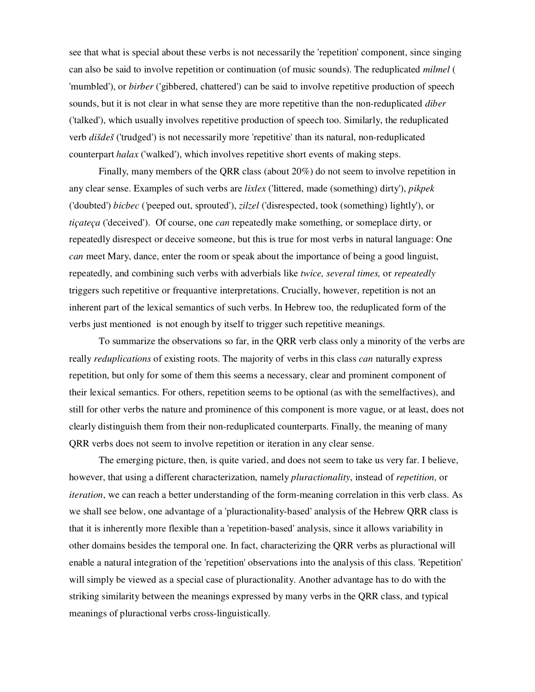see that what is special about these verbs is not necessarily the 'repetition' component, since singing can also be said to involve repetition or continuation (of music sounds). The reduplicated *milmel* ( 'mumbled'), or *birber* ('gibbered, chattered') can be said to involve repetitive production of speech sounds, but it is not clear in what sense they are more repetitive than the non-reduplicated *diber* ('talked'), which usually involves repetitive production of speech too. Similarly, the reduplicated verb *dišdeš* ('trudged') is not necessarily more 'repetitive' than its natural, non-reduplicated counterpart *halax* ('walked'), which involves repetitive short events of making steps.

Finally, many members of the QRR class (about 20%) do not seem to involve repetition in any clear sense. Examples of such verbs are *lixlex* ('littered, made (something) dirty'), *pikpek*  ('doubted') *bicbec* (*'*peeped out, sprouted'), *zilzel* ('disrespected, took (something) lightly'), or *ti*ҁ*ate*ҁ*a* ('deceived'). Of course, one *can* repeatedly make something, or someplace dirty, or repeatedly disrespect or deceive someone, but this is true for most verbs in natural language: One *can* meet Mary, dance, enter the room or speak about the importance of being a good linguist, repeatedly, and combining such verbs with adverbials like *twice, several times,* or *repeatedly* triggers such repetitive or frequantive interpretations. Crucially, however, repetition is not an inherent part of the lexical semantics of such verbs. In Hebrew too, the reduplicated form of the verbs just mentioned is not enough by itself to trigger such repetitive meanings.

To summarize the observations so far, in the QRR verb class only a minority of the verbs are really *reduplications* of existing roots. The majority of verbs in this class *can* naturally express repetition, but only for some of them this seems a necessary, clear and prominent component of their lexical semantics. For others, repetition seems to be optional (as with the semelfactives), and still for other verbs the nature and prominence of this component is more vague, or at least, does not clearly distinguish them from their non-reduplicated counterparts. Finally, the meaning of many QRR verbs does not seem to involve repetition or iteration in any clear sense.

 The emerging picture, then, is quite varied, and does not seem to take us very far. I believe, however, that using a different characterization, namely *pluractionality*, instead of *repetition,* or *iteration*, we can reach a better understanding of the form-meaning correlation in this verb class. As we shall see below, one advantage of a 'pluractionality-based' analysis of the Hebrew QRR class is that it is inherently more flexible than a 'repetition-based' analysis, since it allows variability in other domains besides the temporal one. In fact, characterizing the QRR verbs as pluractional will enable a natural integration of the 'repetition' observations into the analysis of this class. 'Repetition' will simply be viewed as a special case of pluractionality. Another advantage has to do with the striking similarity between the meanings expressed by many verbs in the QRR class, and typical meanings of pluractional verbs cross-linguistically.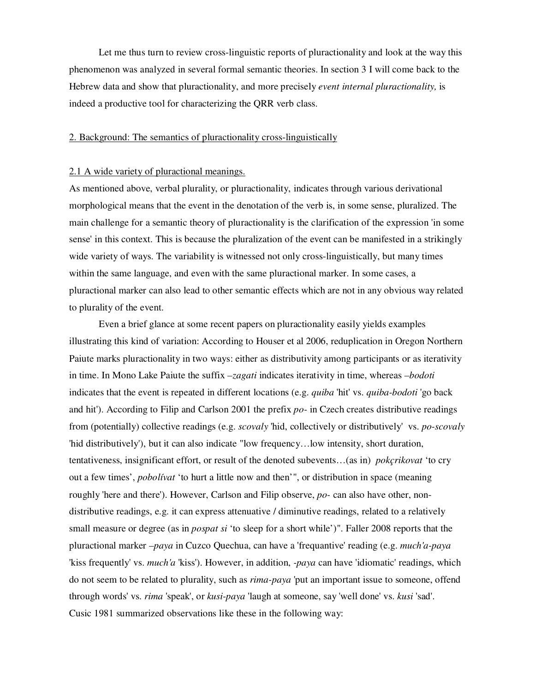Let me thus turn to review cross-linguistic reports of pluractionality and look at the way this phenomenon was analyzed in several formal semantic theories. In section 3 I will come back to the Hebrew data and show that pluractionality, and more precisely *event internal pluractionality,* is indeed a productive tool for characterizing the QRR verb class.

#### 2. Background: The semantics of pluractionality cross-linguistically

#### 2.1 A wide variety of pluractional meanings.

As mentioned above, verbal plurality, or pluractionality, indicates through various derivational morphological means that the event in the denotation of the verb is, in some sense, pluralized. The main challenge for a semantic theory of pluractionality is the clarification of the expression 'in some sense' in this context. This is because the pluralization of the event can be manifested in a strikingly wide variety of ways. The variability is witnessed not only cross-linguistically, but many times within the same language, and even with the same pluractional marker. In some cases, a pluractional marker can also lead to other semantic effects which are not in any obvious way related to plurality of the event.

Even a brief glance at some recent papers on pluractionality easily yields examples illustrating this kind of variation: According to Houser et al 2006, reduplication in Oregon Northern Paiute marks pluractionality in two ways: either as distributivity among participants or as iterativity in time. In Mono Lake Paiute the suffix *–zagati* indicates iterativity in time, whereas *–bodoti* indicates that the event is repeated in different locations (e.g. *quiba* 'hit' vs. *quiba-bodoti* 'go back and hit'). According to Filip and Carlson 2001 the prefix *po-* in Czech creates distributive readings from (potentially) collective readings (e.g. *scovaly* 'hid, collectively or distributively' vs. *po-scovaly*  'hid distributively'), but it can also indicate "low frequency…low intensity, short duration, tentativeness, insignificant effort, or result of the denoted subevents…(as in) *pokçrikovat* 'to cry out a few times', *pobolívat* 'to hurt a little now and then'", or distribution in space (meaning roughly 'here and there'). However, Carlson and Filip observe, *po-* can also have other, nondistributive readings, e.g. it can express attenuative / diminutive readings, related to a relatively small measure or degree (as in *pospat si* 'to sleep for a short while')". Faller 2008 reports that the pluractional marker *–paya* in Cuzco Quechua, can have a 'frequantive' reading (e.g. *much'a-paya* 'kiss frequently' vs. *much'a* 'kiss'). However, in addition, *-paya* can have 'idiomatic' readings, which do not seem to be related to plurality, such as *rima-paya* 'put an important issue to someone, offend through words' vs. *rima* 'speak', or *kusi-paya* 'laugh at someone, say 'well done' vs. *kusi* 'sad'. Cusic 1981 summarized observations like these in the following way: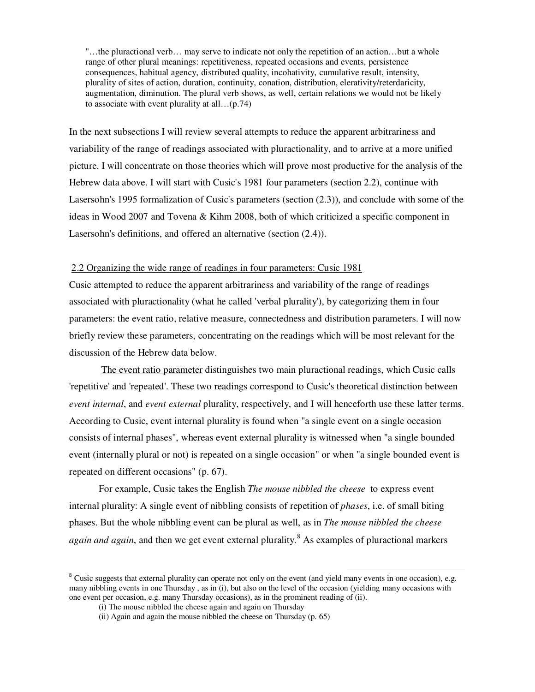"…the pluractional verb… may serve to indicate not only the repetition of an action…but a whole range of other plural meanings: repetitiveness, repeated occasions and events, persistence consequences, habitual agency, distributed quality, incohativity, cumulative result, intensity, plurality of sites of action, duration, continuity, conation, distribution, elerativity/reterdaricity, augmentation, diminution. The plural verb shows, as well, certain relations we would not be likely to associate with event plurality at all…(p.74)

In the next subsections I will review several attempts to reduce the apparent arbitrariness and variability of the range of readings associated with pluractionality, and to arrive at a more unified picture. I will concentrate on those theories which will prove most productive for the analysis of the Hebrew data above. I will start with Cusic's 1981 four parameters (section 2.2), continue with Lasersohn's 1995 formalization of Cusic's parameters (section (2.3)), and conclude with some of the ideas in Wood 2007 and Tovena & Kihm 2008, both of which criticized a specific component in Lasersohn's definitions, and offered an alternative (section (2.4)).

## 2.2 Organizing the wide range of readings in four parameters: Cusic 1981

Cusic attempted to reduce the apparent arbitrariness and variability of the range of readings associated with pluractionality (what he called 'verbal plurality'), by categorizing them in four parameters: the event ratio, relative measure, connectedness and distribution parameters. I will now briefly review these parameters, concentrating on the readings which will be most relevant for the discussion of the Hebrew data below.

 The event ratio parameter distinguishes two main pluractional readings, which Cusic calls 'repetitive' and 'repeated'. These two readings correspond to Cusic's theoretical distinction between *event internal*, and *event external* plurality, respectively, and I will henceforth use these latter terms. According to Cusic, event internal plurality is found when "a single event on a single occasion consists of internal phases", whereas event external plurality is witnessed when "a single bounded event (internally plural or not) is repeated on a single occasion" or when "a single bounded event is repeated on different occasions" (p. 67).

For example, Cusic takes the English *The mouse nibbled the cheese* to express event internal plurality: A single event of nibbling consists of repetition of *phases*, i.e. of small biting phases. But the whole nibbling event can be plural as well, as in *The mouse nibbled the cheese again and again*, and then we get event external plurality.<sup>8</sup> As examples of pluractional markers

l,

<sup>&</sup>lt;sup>8</sup> Cusic suggests that external plurality can operate not only on the event (and yield many events in one occasion), e.g. many nibbling events in one Thursday , as in (i), but also on the level of the occasion (yielding many occasions with one event per occasion, e.g. many Thursday occasions), as in the prominent reading of (ii).

 <sup>(</sup>i) The mouse nibbled the cheese again and again on Thursday

 <sup>(</sup>ii) Again and again the mouse nibbled the cheese on Thursday (p. 65)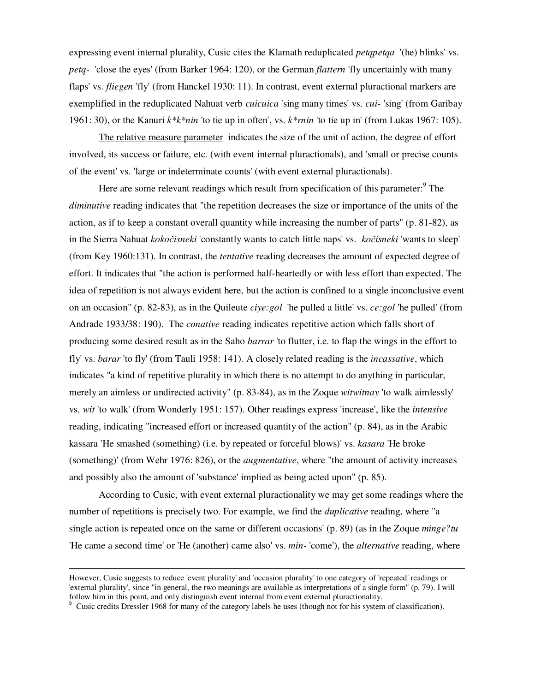expressing event internal plurality, Cusic cites the Klamath reduplicated *petqpetqa* '(he) blinks' vs. *petq-* 'close the eyes' (from Barker 1964: 120), or the German *flattern* 'fly uncertainly with many flaps' vs. *fliegen* 'fly' (from Hanckel 1930: 11). In contrast, event external pluractional markers are exemplified in the reduplicated Nahuat verb *cuicuica* 'sing many times' vs. *cui-* 'sing' (from Garibay 1961: 30), or the Kanuri *k\*k\*nin* 'to tie up in often', vs. *k\*rnin* 'to tie up in' (from Lukas 1967: 105).

The relative measure parameter indicates the size of the unit of action, the degree of effort involved, its success or failure, etc. (with event internal pluractionals), and 'small or precise counts of the event' vs. 'large or indeterminate counts' (with event external pluractionals).

Here are some relevant readings which result from specification of this parameter.<sup>9</sup> The *diminutive* reading indicates that "the repetition decreases the size or importance of the units of the action, as if to keep a constant overall quantity while increasing the number of parts" (p. 81-82), as in the Sierra Nahuat *koko*č*isneki* 'constantly wants to catch little naps' vs. *ko*č*isneki* 'wants to sleep' (from Key 1960:131). In contrast, the *tentative* reading decreases the amount of expected degree of effort. It indicates that "the action is performed half-heartedly or with less effort than expected. The idea of repetition is not always evident here, but the action is confined to a single inconclusive event on an occasion" (p. 82-83), as in the Quileute *ciye:gol* 'he pulled a little' vs. *ce:gol* 'he pulled' (from Andrade 1933/38: 190). The *conative* reading indicates repetitive action which falls short of producing some desired result as in the Saho *barrar* 'to flutter, i.e. to flap the wings in the effort to fly' vs. *barar* 'to fly' (from Tauli 1958: 141). A closely related reading is the *incassative*, which indicates "a kind of repetitive plurality in which there is no attempt to do anything in particular, merely an aimless or undirected activity" (p. 83-84), as in the Zoque *witwitnay* 'to walk aimlessly' vs. *wit* 'to walk' (from Wonderly 1951: 157). Other readings express 'increase', like the *intensive* reading, indicating "increased effort or increased quantity of the action" (p. 84), as in the Arabic kassara 'He smashed (something) (i.e. by repeated or forceful blows)' vs. *kasara* 'He broke (something)' (from Wehr 1976: 826), or the *augmentative*, where "the amount of activity increases and possibly also the amount of 'substance' implied as being acted upon" (p. 85).

 According to Cusic, with event external pluractionality we may get some readings where the number of repetitions is precisely two. For example, we find the *duplicative* reading, where "a single action is repeated once on the same or different occasions' (p. 89) (as in the Zoque *minge?tu* 'He came a second time' or 'He (another) came also' vs. *min-* 'come'), the *alternative* reading, where

-

However, Cusic suggests to reduce 'event plurality' and 'occasion plurality' to one category of 'repeated' readings or 'external plurality', since "in general, the two meanings are available as interpretations of a single form" (p. 79). I will follow him in this point, and only distinguish event internal from event external pluractionality. 9

Cusic credits Dressler 1968 for many of the category labels he uses (though not for his system of classification).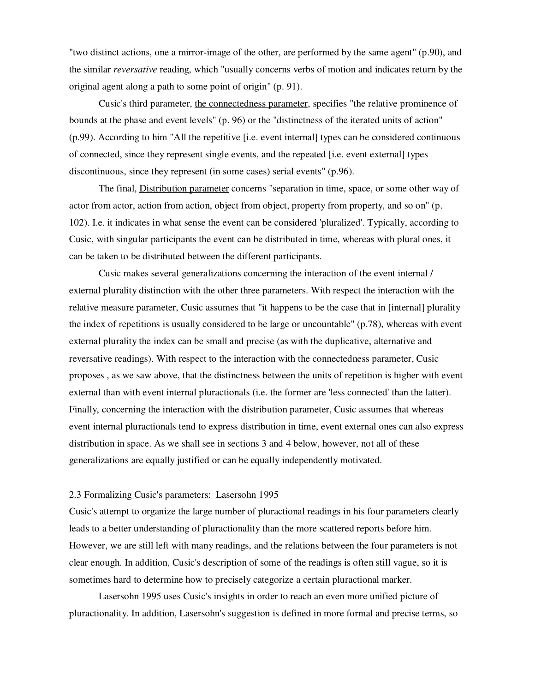"two distinct actions, one a mirror-image of the other, are performed by the same agent" (p.90), and the similar *reversative* reading, which "usually concerns verbs of motion and indicates return by the original agent along a path to some point of origin" (p. 91).

 Cusic's third parameter, the connectedness parameter, specifies "the relative prominence of bounds at the phase and event levels" (p. 96) or the "distinctness of the iterated units of action" (p.99). According to him "All the repetitive [i.e. event internal] types can be considered continuous of connected, since they represent single events, and the repeated [i.e. event external] types discontinuous, since they represent (in some cases) serial events" (p.96).

 The final, Distribution parameter concerns "separation in time, space, or some other way of actor from actor, action from action, object from object, property from property, and so on" (p. 102). I.e. it indicates in what sense the event can be considered 'pluralized'. Typically, according to Cusic, with singular participants the event can be distributed in time, whereas with plural ones, it can be taken to be distributed between the different participants.

 Cusic makes several generalizations concerning the interaction of the event internal / external plurality distinction with the other three parameters. With respect the interaction with the relative measure parameter, Cusic assumes that "it happens to be the case that in [internal] plurality the index of repetitions is usually considered to be large or uncountable" (p.78), whereas with event external plurality the index can be small and precise (as with the duplicative, alternative and reversative readings). With respect to the interaction with the connectedness parameter, Cusic proposes , as we saw above, that the distinctness between the units of repetition is higher with event external than with event internal pluractionals (i.e. the former are 'less connected' than the latter). Finally, concerning the interaction with the distribution parameter, Cusic assumes that whereas event internal pluractionals tend to express distribution in time, event external ones can also express distribution in space. As we shall see in sections 3 and 4 below, however, not all of these generalizations are equally justified or can be equally independently motivated.

## 2.3 Formalizing Cusic's parameters: Lasersohn 1995

Cusic's attempt to organize the large number of pluractional readings in his four parameters clearly leads to a better understanding of pluractionality than the more scattered reports before him. However, we are still left with many readings, and the relations between the four parameters is not clear enough. In addition, Cusic's description of some of the readings is often still vague, so it is sometimes hard to determine how to precisely categorize a certain pluractional marker.

 Lasersohn 1995 uses Cusic's insights in order to reach an even more unified picture of pluractionality. In addition, Lasersohn's suggestion is defined in more formal and precise terms, so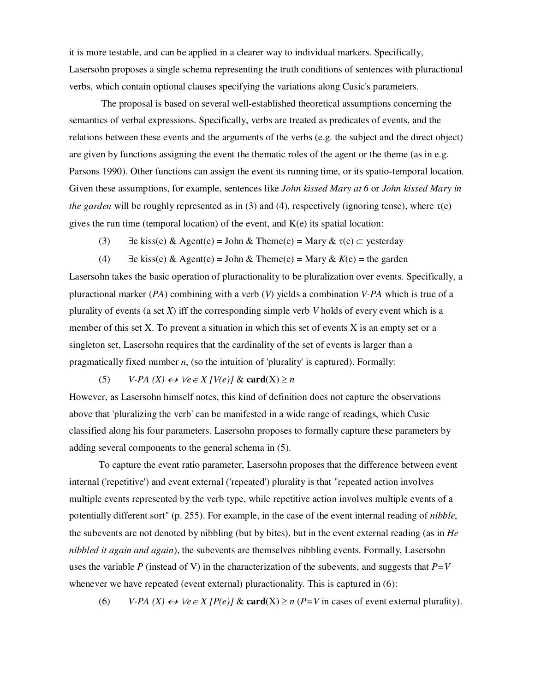it is more testable, and can be applied in a clearer way to individual markers. Specifically, Lasersohn proposes a single schema representing the truth conditions of sentences with pluractional verbs, which contain optional clauses specifying the variations along Cusic's parameters.

 The proposal is based on several well-established theoretical assumptions concerning the semantics of verbal expressions. Specifically, verbs are treated as predicates of events, and the relations between these events and the arguments of the verbs (e.g. the subject and the direct object) are given by functions assigning the event the thematic roles of the agent or the theme (as in e.g. Parsons 1990). Other functions can assign the event its running time, or its spatio-temporal location. Given these assumptions, for example, sentences like *John kissed Mary at 6* or *John kissed Mary in the garden* will be roughly represented as in (3) and (4), respectively (ignoring tense), where  $\tau(e)$ gives the run time (temporal location) of the event, and  $K(e)$  its spatial location:

- (3)  $\exists e$  kiss(e) & Agent(e) = John & Theme(e) = Mary &  $\tau(e)$   $\subset$  yesterday
- (4) ∃e kiss(e) & Agent(e) = John & Theme(e) = Mary & *K*(e) = the garden

Lasersohn takes the basic operation of pluractionality to be pluralization over events. Specifically, a pluractional marker (*PA*) combining with a verb (*V*) yields a combination *V-PA* which is true of a plurality of events (a set *X*) iff the corresponding simple verb *V* holds of every event which is a member of this set X. To prevent a situation in which this set of events X is an empty set or a singleton set, Lasersohn requires that the cardinality of the set of events is larger than a pragmatically fixed number *n*, (so the intuition of 'plurality' is captured). Formally:

(5) 
$$
V\text{-}PA(X) \leftrightarrow \forall e \in X \mid V(e) \mid \& \text{ card}(X) \geq n
$$

However, as Lasersohn himself notes, this kind of definition does not capture the observations above that 'pluralizing the verb' can be manifested in a wide range of readings, which Cusic classified along his four parameters. Lasersohn proposes to formally capture these parameters by adding several components to the general schema in (5).

To capture the event ratio parameter, Lasersohn proposes that the difference between event internal ('repetitive') and event external ('repeated') plurality is that "repeated action involves multiple events represented by the verb type, while repetitive action involves multiple events of a potentially different sort" (p. 255). For example, in the case of the event internal reading of *nibble*, the subevents are not denoted by nibbling (but by bites), but in the event external reading (as in *He nibbled it again and again*), the subevents are themselves nibbling events. Formally, Lasersohn uses the variable *P* (instead of V) in the characterization of the subevents, and suggests that  $P=V$ whenever we have repeated (event external) pluractionality. This is captured in  $(6)$ :

(6) *V-PA (X)*  $\Leftrightarrow$  $\forall e \in X$  *[P(e)]* & **card**(X)  $\geq n$  (P=V in cases of event external plurality).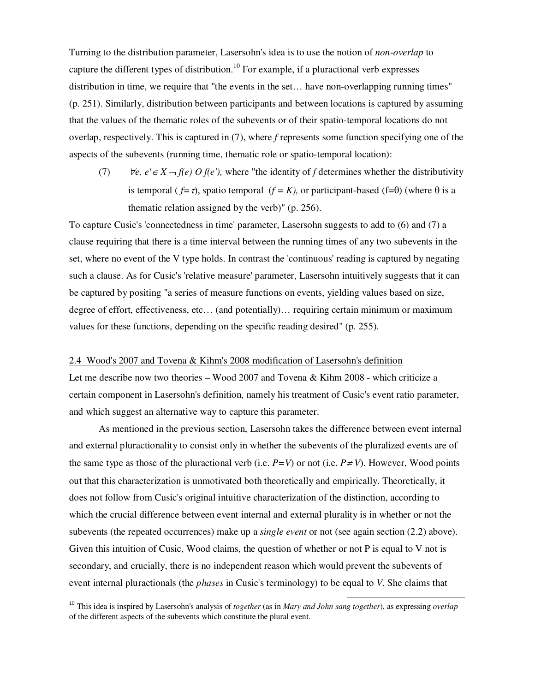Turning to the distribution parameter, Lasersohn's idea is to use the notion of *non-overlap* to capture the different types of distribution.<sup>10</sup> For example, if a pluractional verb expresses distribution in time, we require that "the events in the set… have non-overlapping running times" (p. 251). Similarly, distribution between participants and between locations is captured by assuming that the values of the thematic roles of the subevents or of their spatio-temporal locations do not overlap, respectively. This is captured in (7), where *f* represents some function specifying one of the aspects of the subevents (running time, thematic role or spatio-temporal location):

(7)  $\forall e, e' \in X \rightarrow f(e) \text{ } Of(e'), \text{ where "the identity of } f \text{ determines whether the distributivity }$ is temporal ( $f = \tau$ ), spatio temporal ( $f = K$ ), or participant-based ( $f = \theta$ ) (where  $\theta$  is a thematic relation assigned by the verb)" (p. 256).

To capture Cusic's 'connectedness in time' parameter, Lasersohn suggests to add to (6) and (7) a clause requiring that there is a time interval between the running times of any two subevents in the set, where no event of the V type holds. In contrast the 'continuous' reading is captured by negating such a clause. As for Cusic's 'relative measure' parameter, Lasersohn intuitively suggests that it can be captured by positing "a series of measure functions on events, yielding values based on size, degree of effort, effectiveness, etc… (and potentially)… requiring certain minimum or maximum values for these functions, depending on the specific reading desired" (p. 255).

## 2.4 Wood's 2007 and Tovena & Kihm's 2008 modification of Lasersohn's definition

Let me describe now two theories – Wood 2007 and Tovena & Kihm 2008 - which criticize a certain component in Lasersohn's definition, namely his treatment of Cusic's event ratio parameter, and which suggest an alternative way to capture this parameter.

 As mentioned in the previous section, Lasersohn takes the difference between event internal and external pluractionality to consist only in whether the subevents of the pluralized events are of the same type as those of the pluractional verb (i.e.  $P=V$ ) or not (i.e.  $P\neq V$ ). However, Wood points out that this characterization is unmotivated both theoretically and empirically. Theoretically, it does not follow from Cusic's original intuitive characterization of the distinction, according to which the crucial difference between event internal and external plurality is in whether or not the subevents (the repeated occurrences) make up a *single event* or not (see again section (2.2) above). Given this intuition of Cusic, Wood claims, the question of whether or not  $P$  is equal to  $V$  not is secondary, and crucially, there is no independent reason which would prevent the subevents of event internal pluractionals (the *phases* in Cusic's terminology) to be equal to *V*. She claims that

**.** 

<sup>10</sup> This idea is inspired by Lasersohn's analysis of *together* (as in *Mary and John sang together*), as expressing *overlap* of the different aspects of the subevents which constitute the plural event.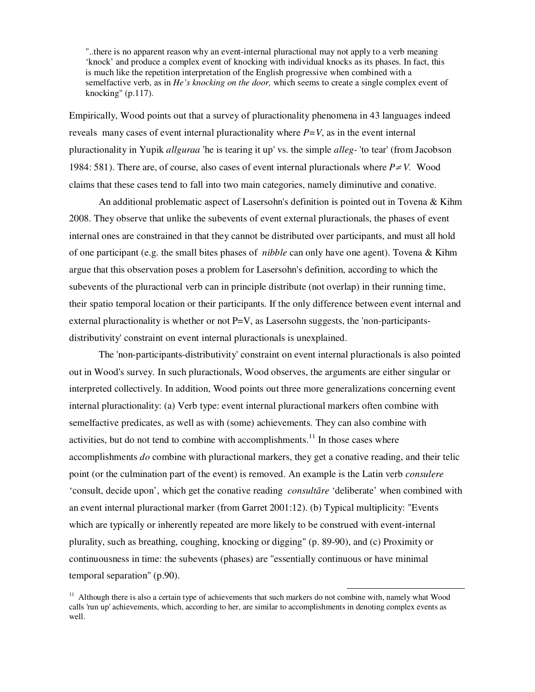"..there is no apparent reason why an event-internal pluractional may not apply to a verb meaning 'knock' and produce a complex event of knocking with individual knocks as its phases. In fact, this is much like the repetition interpretation of the English progressive when combined with a semelfactive verb, as in *He's knocking on the door,* which seems to create a single complex event of knocking" (p.117).

Empirically, Wood points out that a survey of pluractionality phenomena in 43 languages indeed reveals many cases of event internal pluractionality where  $P=V$ , as in the event internal pluractionality in Yupik *allguraa* 'he is tearing it up' vs. the simple *alleg*- 'to tear' (from Jacobson 1984: 581). There are, of course, also cases of event internal pluractionals where  $P \neq V$ . Wood claims that these cases tend to fall into two main categories, namely diminutive and conative.

 An additional problematic aspect of Lasersohn's definition is pointed out in Tovena & Kihm 2008. They observe that unlike the subevents of event external pluractionals, the phases of event internal ones are constrained in that they cannot be distributed over participants, and must all hold of one participant (e.g. the small bites phases of *nibble* can only have one agent). Tovena & Kihm argue that this observation poses a problem for Lasersohn's definition, according to which the subevents of the pluractional verb can in principle distribute (not overlap) in their running time, their spatio temporal location or their participants. If the only difference between event internal and external pluractionality is whether or not  $P=V$ , as Lasersohn suggests, the 'non-participantsdistributivity' constraint on event internal pluractionals is unexplained.

The 'non-participants-distributivity' constraint on event internal pluractionals is also pointed out in Wood's survey. In such pluractionals, Wood observes, the arguments are either singular or interpreted collectively. In addition, Wood points out three more generalizations concerning event internal pluractionality: (a) Verb type: event internal pluractional markers often combine with semelfactive predicates, as well as with (some) achievements. They can also combine with activities, but do not tend to combine with accomplishments.<sup>11</sup> In those cases where accomplishments *do* combine with pluractional markers, they get a conative reading, and their telic point (or the culmination part of the event) is removed. An example is the Latin verb *consulere* 'consult, decide upon', which get the conative reading *consult*ā*re* 'deliberate' when combined with an event internal pluractional marker (from Garret 2001:12). (b) Typical multiplicity: "Events which are typically or inherently repeated are more likely to be construed with event-internal plurality, such as breathing, coughing, knocking or digging" (p. 89-90), and (c) Proximity or continuousness in time: the subevents (phases) are "essentially continuous or have minimal temporal separation" (p.90).

l,

 $11$  Although there is also a certain type of achievements that such markers do not combine with, namely what Wood calls 'run up' achievements, which, according to her, are similar to accomplishments in denoting complex events as well.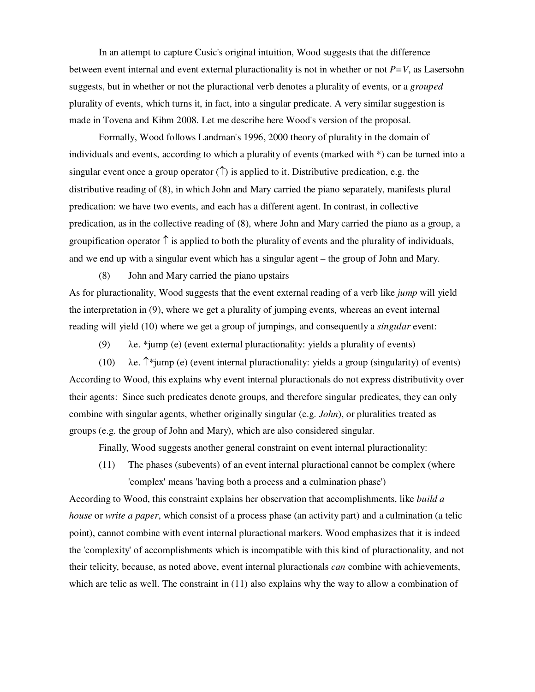In an attempt to capture Cusic's original intuition, Wood suggests that the difference between event internal and event external pluractionality is not in whether or not *P=V*, as Lasersohn suggests, but in whether or not the pluractional verb denotes a plurality of events, or a *grouped* plurality of events, which turns it, in fact, into a singular predicate. A very similar suggestion is made in Tovena and Kihm 2008. Let me describe here Wood's version of the proposal.

Formally, Wood follows Landman's 1996, 2000 theory of plurality in the domain of individuals and events, according to which a plurality of events (marked with \*) can be turned into a singular event once a group operator  $(\uparrow)$  is applied to it. Distributive predication, e.g. the distributive reading of (8), in which John and Mary carried the piano separately, manifests plural predication: we have two events, and each has a different agent. In contrast, in collective predication, as in the collective reading of (8), where John and Mary carried the piano as a group, a groupification operator  $\uparrow$  is applied to both the plurality of events and the plurality of individuals, and we end up with a singular event which has a singular agent – the group of John and Mary.

(8) John and Mary carried the piano upstairs

As for pluractionality, Wood suggests that the event external reading of a verb like *jump* will yield the interpretation in (9), where we get a plurality of jumping events, whereas an event internal reading will yield (10) where we get a group of jumpings, and consequently a *singular* event:

(9) λe. \*jump (e) (event external pluractionality: yields a plurality of events)

(10)  $\lambda$ e. ↑\*jump (e) (event internal pluractionality: yields a group (singularity) of events) According to Wood, this explains why event internal pluractionals do not express distributivity over their agents: Since such predicates denote groups, and therefore singular predicates, they can only combine with singular agents, whether originally singular (e.g. *John*), or pluralities treated as groups (e.g. the group of John and Mary), which are also considered singular.

Finally, Wood suggests another general constraint on event internal pluractionality:

(11) The phases (subevents) of an event internal pluractional cannot be complex (where 'complex' means 'having both a process and a culmination phase')

According to Wood, this constraint explains her observation that accomplishments, like *build a house* or *write a paper*, which consist of a process phase (an activity part) and a culmination (a telic point), cannot combine with event internal pluractional markers. Wood emphasizes that it is indeed the 'complexity' of accomplishments which is incompatible with this kind of pluractionality, and not their telicity, because, as noted above, event internal pluractionals *can* combine with achievements, which are telic as well. The constraint in (11) also explains why the way to allow a combination of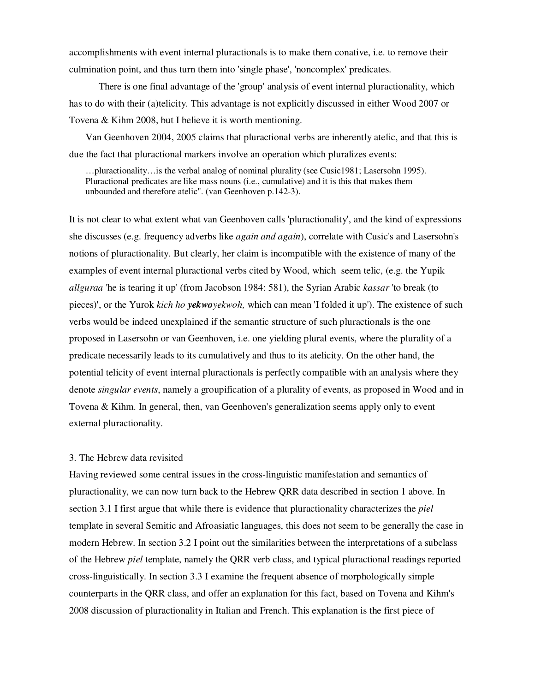accomplishments with event internal pluractionals is to make them conative, i.e. to remove their culmination point, and thus turn them into 'single phase', 'noncomplex' predicates.

 There is one final advantage of the 'group' analysis of event internal pluractionality, which has to do with their (a)telicity. This advantage is not explicitly discussed in either Wood 2007 or Tovena & Kihm 2008, but I believe it is worth mentioning.

Van Geenhoven 2004, 2005 claims that pluractional verbs are inherently atelic, and that this is due the fact that pluractional markers involve an operation which pluralizes events:

…pluractionality…is the verbal analog of nominal plurality (see Cusic1981; Lasersohn 1995). Pluractional predicates are like mass nouns (i.e., cumulative) and it is this that makes them unbounded and therefore atelic". (van Geenhoven p.142-3).

It is not clear to what extent what van Geenhoven calls 'pluractionality', and the kind of expressions she discusses (e.g. frequency adverbs like *again and again*), correlate with Cusic's and Lasersohn's notions of pluractionality. But clearly, her claim is incompatible with the existence of many of the examples of event internal pluractional verbs cited by Wood, which seem telic, (e.g. the Yupik *allguraa* 'he is tearing it up' (from Jacobson 1984: 581), the Syrian Arabic *kassar* 'to break (to pieces)', or the Yurok *kich ho yekwoyekwoh,* which can mean 'I folded it up'). The existence of such verbs would be indeed unexplained if the semantic structure of such pluractionals is the one proposed in Lasersohn or van Geenhoven, i.e. one yielding plural events, where the plurality of a predicate necessarily leads to its cumulatively and thus to its atelicity. On the other hand, the potential telicity of event internal pluractionals is perfectly compatible with an analysis where they denote *singular events*, namely a groupification of a plurality of events, as proposed in Wood and in Tovena & Kihm. In general, then, van Geenhoven's generalization seems apply only to event external pluractionality.

#### 3. The Hebrew data revisited

Having reviewed some central issues in the cross-linguistic manifestation and semantics of pluractionality, we can now turn back to the Hebrew QRR data described in section 1 above. In section 3.1 I first argue that while there is evidence that pluractionality characterizes the *piel* template in several Semitic and Afroasiatic languages, this does not seem to be generally the case in modern Hebrew. In section 3.2 I point out the similarities between the interpretations of a subclass of the Hebrew *piel* template, namely the QRR verb class, and typical pluractional readings reported cross-linguistically. In section 3.3 I examine the frequent absence of morphologically simple counterparts in the QRR class, and offer an explanation for this fact, based on Tovena and Kihm's 2008 discussion of pluractionality in Italian and French. This explanation is the first piece of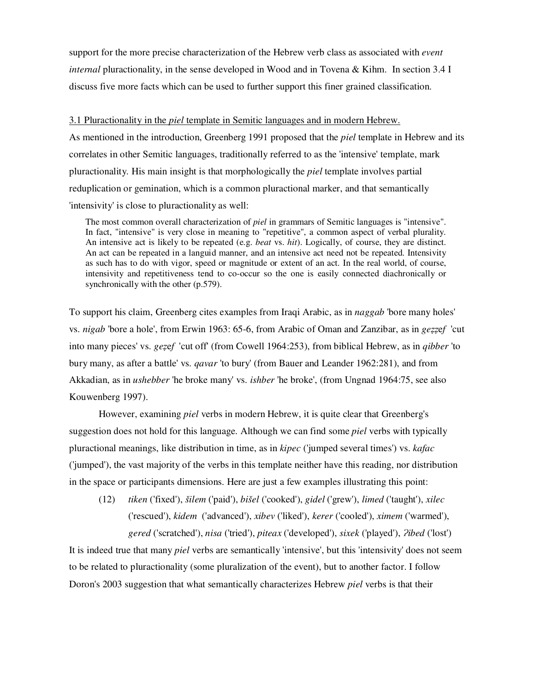support for the more precise characterization of the Hebrew verb class as associated with *event internal* pluractionality, in the sense developed in Wood and in Tovena & Kihm. In section 3.4 I discuss five more facts which can be used to further support this finer grained classification.

## 3.1 Pluractionality in the *piel* template in Semitic languages and in modern Hebrew.

As mentioned in the introduction, Greenberg 1991 proposed that the *piel* template in Hebrew and its correlates in other Semitic languages, traditionally referred to as the 'intensive' template, mark pluractionality. His main insight is that morphologically the *piel* template involves partial reduplication or gemination, which is a common pluractional marker, and that semantically 'intensivity' is close to pluractionality as well:

The most common overall characterization of *piel* in grammars of Semitic languages is "intensive". In fact, "intensive" is very close in meaning to "repetitive", a common aspect of verbal plurality. An intensive act is likely to be repeated (e.g. *beat* vs. *hit*). Logically, of course, they are distinct. An act can be repeated in a languid manner, and an intensive act need not be repeated. Intensivity as such has to do with vigor, speed or magnitude or extent of an act. In the real world, of course, intensivity and repetitiveness tend to co-occur so the one is easily connected diachronically or synchronically with the other (p.579).

To support his claim, Greenberg cites examples from Iraqi Arabic, as in *naggab* 'bore many holes' vs. *nigab* 'bore a hole', from Erwin 1963: 65-6, from Arabic of Oman and Zanzibar, as in *ge*ẓẓe*f* 'cut into many pieces' vs. *ge*ẓe*f* 'cut off' (from Cowell 1964:253), from biblical Hebrew, as in *qibber* 'to bury many, as after a battle' vs. *qavar* 'to bury' (from Bauer and Leander 1962:281), and from Akkadian, as in *ushebber* 'he broke many' vs. *ishber* 'he broke', (from Ungnad 1964:75, see also Kouwenberg 1997).

 However, examining *piel* verbs in modern Hebrew, it is quite clear that Greenberg's suggestion does not hold for this language. Although we can find some *piel* verbs with typically pluractional meanings, like distribution in time, as in *kipec* ('jumped several times') vs. *kafac* ('jumped'), the vast majority of the verbs in this template neither have this reading, nor distribution in the space or participants dimensions. Here are just a few examples illustrating this point:

(12) *tiken* ('fixed'), *šilem* ('paid'), *bišel* ('cooked'), *gidel* ('grew'), *limed* ('taught'), *xilec* ('rescued'), *kidem* ('advanced'), *xibev* ('liked'), *kerer* ('cooled'), *ximem* ('warmed'), *gered* ('scratched'), *nisa* ('tried'), *piteax* ('developed'), *sixek* ('played'), Ɂ*ibed* ('lost')

It is indeed true that many *piel* verbs are semantically 'intensive', but this 'intensivity' does not seem to be related to pluractionality (some pluralization of the event), but to another factor. I follow Doron's 2003 suggestion that what semantically characterizes Hebrew *piel* verbs is that their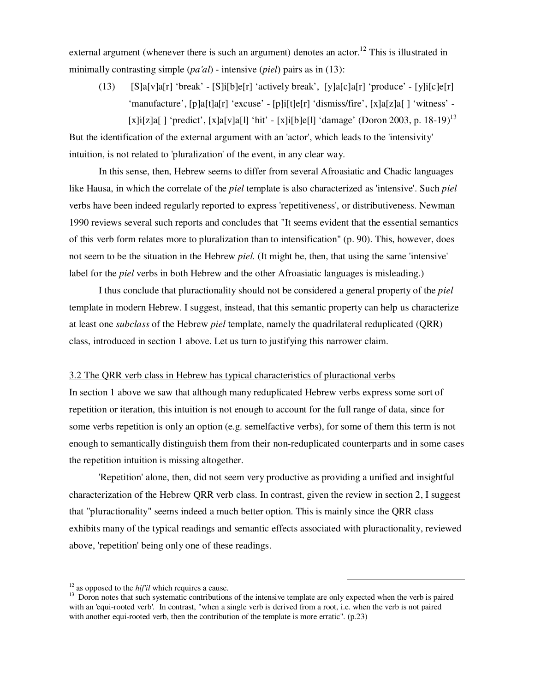external argument (whenever there is such an argument) denotes an actor.<sup>12</sup> This is illustrated in minimally contrasting simple (*pa'al*) - intensive (*piel*) pairs as in (13):

(13)  $[S]a[v]a[r] 'break' - [S]i[b]e[r]'actively break'$ ,  $[y]a[c]a[r]'produce' - [y]i[c]e[r]$ 'manufacture', [p]a[t]a[r] 'excuse' - [p]i[t]e[r] 'dismiss/fire', [x]a[z]a[ ] 'witness' - [x]i[z]a[] 'predict', [x]a[v]a[l] 'hit' - [x]i[b]e[l] 'damage' (Doron 2003, p. 18-19)<sup>13</sup>

But the identification of the external argument with an 'actor', which leads to the 'intensivity' intuition, is not related to 'pluralization' of the event, in any clear way.

 In this sense, then, Hebrew seems to differ from several Afroasiatic and Chadic languages like Hausa, in which the correlate of the *piel* template is also characterized as 'intensive'. Such *piel*  verbs have been indeed regularly reported to express 'repetitiveness', or distributiveness. Newman 1990 reviews several such reports and concludes that "It seems evident that the essential semantics of this verb form relates more to pluralization than to intensification" (p. 90). This, however, does not seem to be the situation in the Hebrew *piel.* (It might be, then, that using the same 'intensive' label for the *piel* verbs in both Hebrew and the other Afroasiatic languages is misleading.)

I thus conclude that pluractionality should not be considered a general property of the *piel* template in modern Hebrew. I suggest, instead, that this semantic property can help us characterize at least one *subclass* of the Hebrew *piel* template, namely the quadrilateral reduplicated (QRR) class, introduced in section 1 above. Let us turn to justifying this narrower claim.

## 3.2 The QRR verb class in Hebrew has typical characteristics of pluractional verbs

In section 1 above we saw that although many reduplicated Hebrew verbs express some sort of repetition or iteration, this intuition is not enough to account for the full range of data, since for some verbs repetition is only an option (e.g. semelfactive verbs), for some of them this term is not enough to semantically distinguish them from their non-reduplicated counterparts and in some cases the repetition intuition is missing altogether.

 'Repetition' alone, then, did not seem very productive as providing a unified and insightful characterization of the Hebrew QRR verb class. In contrast, given the review in section 2, I suggest that "pluractionality" seems indeed a much better option. This is mainly since the QRR class exhibits many of the typical readings and semantic effects associated with pluractionality, reviewed above, 'repetition' being only one of these readings.

<sup>12</sup> as opposed to the *hif'il* which requires a cause.

<sup>&</sup>lt;sup>13</sup> Doron notes that such systematic contributions of the intensive template are only expected when the verb is paired with an 'equi-rooted verb'. In contrast, "when a single verb is derived from a root, i.e. when the verb is not paired with another equi-rooted verb, then the contribution of the template is more erratic". (p.23)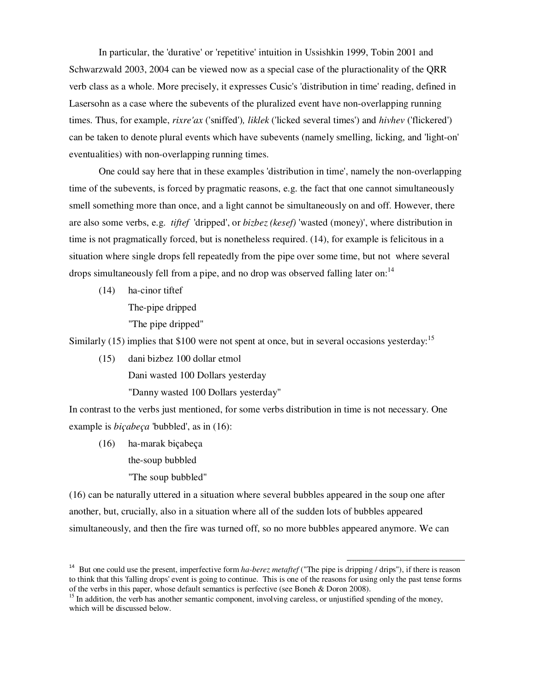In particular, the 'durative' or 'repetitive' intuition in Ussishkin 1999, Tobin 2001 and Schwarzwald 2003, 2004 can be viewed now as a special case of the pluractionality of the QRR verb class as a whole. More precisely, it expresses Cusic's 'distribution in time' reading, defined in Lasersohn as a case where the subevents of the pluralized event have non-overlapping running times. Thus, for example, *rixre'ax* ('sniffed')*, liklek* ('licked several times') and *hivhev* ('flickered') can be taken to denote plural events which have subevents (namely smelling, licking, and 'light-on' eventualities) with non-overlapping running times.

One could say here that in these examples 'distribution in time', namely the non-overlapping time of the subevents, is forced by pragmatic reasons, e.g. the fact that one cannot simultaneously smell something more than once, and a light cannot be simultaneously on and off. However, there are also some verbs, e.g. *tiftef* 'dripped', or *bizbez (kesef)* 'wasted (money)', where distribution in time is not pragmatically forced, but is nonetheless required. (14), for example is felicitous in a situation where single drops fell repeatedly from the pipe over some time, but not where several drops simultaneously fell from a pipe, and no drop was observed falling later on:<sup>14</sup>

(14) ha-cinor tiftef The-pipe dripped "The pipe dripped"

Similarly  $(15)$  implies that \$100 were not spent at once, but in several occasions yesterday:<sup>15</sup>

 (15) dani bizbez 100 dollar etmol Dani wasted 100 Dollars yesterday "Danny wasted 100 Dollars yesterday"

In contrast to the verbs just mentioned, for some verbs distribution in time is not necessary. One example is *bi*ҁ*abe*ҁ*a* 'bubbled', as in (16):

 (16) ha-marak biҁabeҁa the-soup bubbled "The soup bubbled"

(16) can be naturally uttered in a situation where several bubbles appeared in the soup one after another, but, crucially, also in a situation where all of the sudden lots of bubbles appeared simultaneously, and then the fire was turned off, so no more bubbles appeared anymore. We can

<sup>14</sup> But one could use the present, imperfective form *ha-berez metaftef* ("The pipe is dripping / drips"), if there is reason to think that this 'falling drops' event is going to continue. This is one of the reasons for using only the past tense forms of the verbs in this paper, whose default semantics is perfective (see Boneh & Doron 2008).

 $<sup>15</sup>$  In addition, the verb has another semantic component, involving careless, or unjustified spending of the money,</sup> which will be discussed below.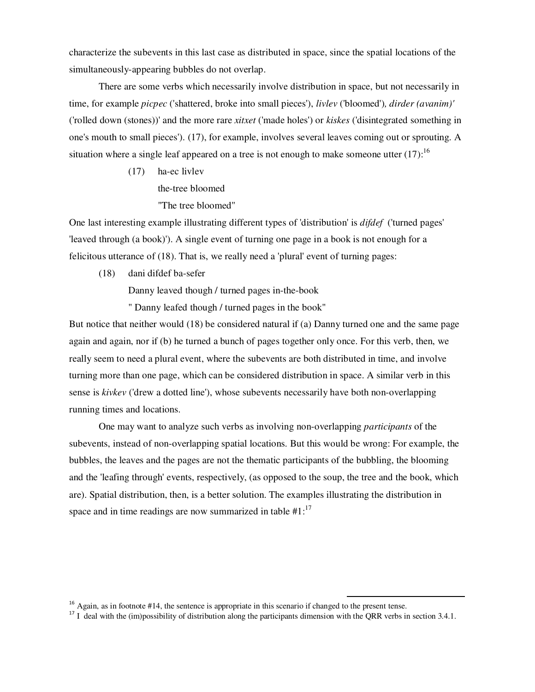characterize the subevents in this last case as distributed in space, since the spatial locations of the simultaneously-appearing bubbles do not overlap.

There are some verbs which necessarily involve distribution in space, but not necessarily in time, for example *picpec* ('shattered, broke into small pieces'), *livlev* ('bloomed')*, dirder (avanim)'*  ('rolled down (stones))' and the more rare *xitxet* ('made holes') or *kiskes* ('disintegrated something in one's mouth to small pieces'). (17), for example, involves several leaves coming out or sprouting. A situation where a single leaf appeared on a tree is not enough to make someone utter  $(17)$ :<sup>16</sup>

> (17) ha-ec livlev the-tree bloomed "The tree bloomed"

One last interesting example illustrating different types of 'distribution' is *difdef* ('turned pages' 'leaved through (a book)'). A single event of turning one page in a book is not enough for a felicitous utterance of (18). That is, we really need a 'plural' event of turning pages:

(18) dani difdef ba-sefer

Danny leaved though / turned pages in-the-book

" Danny leafed though / turned pages in the book"

But notice that neither would (18) be considered natural if (a) Danny turned one and the same page again and again, nor if (b) he turned a bunch of pages together only once. For this verb, then, we really seem to need a plural event, where the subevents are both distributed in time, and involve turning more than one page, which can be considered distribution in space. A similar verb in this sense is *kivkev* ('drew a dotted line'), whose subevents necessarily have both non-overlapping running times and locations.

One may want to analyze such verbs as involving non-overlapping *participants* of the subevents, instead of non-overlapping spatial locations. But this would be wrong: For example, the bubbles, the leaves and the pages are not the thematic participants of the bubbling, the blooming and the 'leafing through' events, respectively, (as opposed to the soup, the tree and the book, which are). Spatial distribution, then, is a better solution. The examples illustrating the distribution in space and in time readings are now summarized in table  $\#1$ :<sup>17</sup>

**.** 

<sup>&</sup>lt;sup>16</sup> Again, as in footnote #14, the sentence is appropriate in this scenario if changed to the present tense.

 $17$  I deal with the (im)possibility of distribution along the participants dimension with the QRR verbs in section 3.4.1.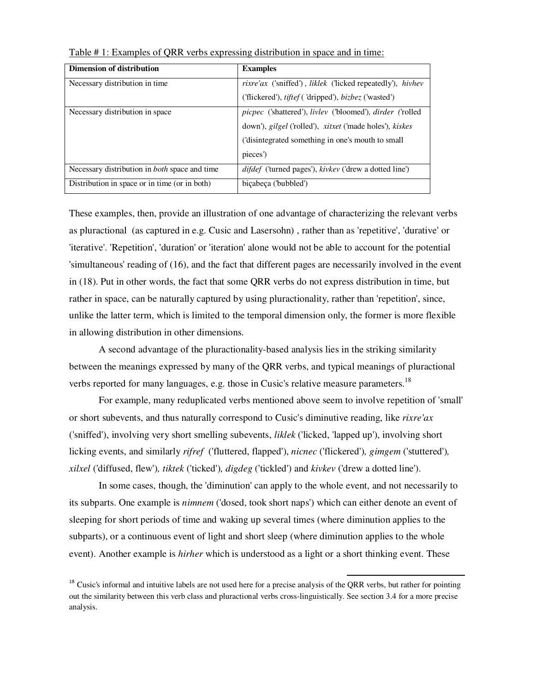| <b>Dimension of distribution</b>                     | <b>Examples</b>                                                                 |  |
|------------------------------------------------------|---------------------------------------------------------------------------------|--|
| Necessary distribution in time                       | <i>rixre'ax</i> ('sniffed'), <i>liklek</i> ('licked repeatedly'), <i>hivhev</i> |  |
|                                                      | ('flickered'), tiftef ('dripped'), bizbez ('wasted')                            |  |
| Necessary distribution in space                      | picpec ('shattered'), livlev ('bloomed'), dirder ('rolled                       |  |
|                                                      | down'), <i>gilgel</i> ('rolled'), <i>xitxet</i> ('made holes'), <i>kiskes</i>   |  |
|                                                      | ('disintegrated something in one's mouth to small                               |  |
|                                                      | pieces')                                                                        |  |
| Necessary distribution in <i>both</i> space and time | <i>difdef</i> ('turned pages'), <i>kivkev</i> ('drew a dotted line')            |  |
| Distribution in space or in time (or in both)        | biçabeça ('bubbled')                                                            |  |

Table # 1: Examples of QRR verbs expressing distribution in space and in time:

These examples, then, provide an illustration of one advantage of characterizing the relevant verbs as pluractional (as captured in e.g. Cusic and Lasersohn) , rather than as 'repetitive', 'durative' or 'iterative'. 'Repetition', 'duration' or 'iteration' alone would not be able to account for the potential 'simultaneous' reading of (16), and the fact that different pages are necessarily involved in the event in (18). Put in other words, the fact that some QRR verbs do not express distribution in time, but rather in space, can be naturally captured by using pluractionality, rather than 'repetition', since, unlike the latter term, which is limited to the temporal dimension only, the former is more flexible in allowing distribution in other dimensions.

 A second advantage of the pluractionality-based analysis lies in the striking similarity between the meanings expressed by many of the QRR verbs, and typical meanings of pluractional verbs reported for many languages, e.g. those in Cusic's relative measure parameters.<sup>18</sup>

For example, many reduplicated verbs mentioned above seem to involve repetition of 'small' or short subevents, and thus naturally correspond to Cusic's diminutive reading, like *rixre'ax*  ('sniffed'), involving very short smelling subevents, *liklek* ('licked, 'lapped up'), involving short licking events, and similarly *rifref* ('fluttered, flapped'), *nicnec* ('flickered')*, gimgem* ('stuttered')*, xilxel* ('diffused, flew')*, tiktek* ('ticked')*, digdeg* ('tickled') and *kivkev* ('drew a dotted line').

In some cases, though, the 'diminution' can apply to the whole event, and not necessarily to its subparts. One example is *nimnem* ('dosed, took short naps') which can either denote an event of sleeping for short periods of time and waking up several times (where diminution applies to the subparts), or a continuous event of light and short sleep (where diminution applies to the whole event). Another example is *hirher* which is understood as a light or a short thinking event. These

l,

<sup>&</sup>lt;sup>18</sup> Cusic's informal and intuitive labels are not used here for a precise analysis of the QRR verbs, but rather for pointing out the similarity between this verb class and pluractional verbs cross-linguistically. See section 3.4 for a more precise analysis.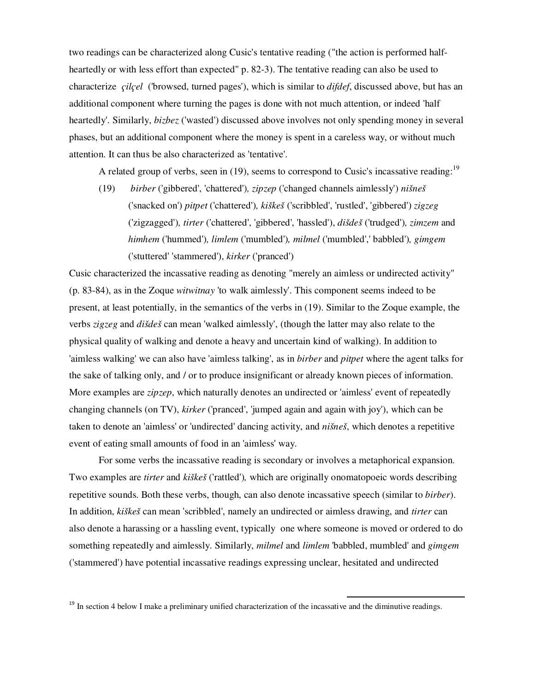two readings can be characterized along Cusic's tentative reading ("the action is performed halfheartedly or with less effort than expected" p. 82-3). The tentative reading can also be used to characterize ҁ*il*ҁ*el* ('browsed, turned pages'), which is similar to *difdef*, discussed above, but has an additional component where turning the pages is done with not much attention, or indeed 'half heartedly'. Similarly, *bizbez* ('wasted') discussed above involves not only spending money in several phases, but an additional component where the money is spent in a careless way, or without much attention. It can thus be also characterized as 'tentative'.

A related group of verbs, seen in  $(19)$ , seems to correspond to Cusic's incassative reading:<sup>19</sup>

(19) *birber* ('gibbered', 'chattered')*, zipzep* ('changed channels aimlessly') *nišneš*  ('snacked on') *pitpet* ('chattered')*, kiškeš* ('scribbled', 'rustled', 'gibbered') *zigzeg*  ('zigzagged')*, tirter* ('chattered', 'gibbered', 'hassled'), *dišdeš* ('trudged')*, zimzem* and *himhem* ('hummed')*, limlem* ('mumbled')*, milmel* ('mumbled',' babbled')*, gimgem*  ('stuttered' 'stammered'), *kirker* ('pranced')

Cusic characterized the incassative reading as denoting "merely an aimless or undirected activity" (p. 83-84), as in the Zoque *witwitnay* 'to walk aimlessly'. This component seems indeed to be present, at least potentially, in the semantics of the verbs in (19). Similar to the Zoque example, the verbs *zigzeg* and *dišdeš* can mean 'walked aimlessly', (though the latter may also relate to the physical quality of walking and denote a heavy and uncertain kind of walking). In addition to 'aimless walking' we can also have 'aimless talking', as in *birber* and *pitpet* where the agent talks for the sake of talking only, and / or to produce insignificant or already known pieces of information. More examples are *zipzep*, which naturally denotes an undirected or 'aimless' event of repeatedly changing channels (on TV), *kirker* ('pranced', 'jumped again and again with joy'), which can be taken to denote an 'aimless' or 'undirected' dancing activity, and *nišneš*, which denotes a repetitive event of eating small amounts of food in an 'aimless' way.

For some verbs the incassative reading is secondary or involves a metaphorical expansion. Two examples are *tirter* and *kiškeš* ('rattled')*,* which are originally onomatopoeic words describing repetitive sounds. Both these verbs, though, can also denote incassative speech (similar to *birber*). In addition, *kiškeš* can mean 'scribbled', namely an undirected or aimless drawing, and *tirter* can also denote a harassing or a hassling event, typically one where someone is moved or ordered to do something repeatedly and aimlessly. Similarly, *milmel* and *limlem* 'babbled, mumbled' and *gimgem*  ('stammered') have potential incassative readings expressing unclear, hesitated and undirected

<sup>&</sup>lt;sup>19</sup> In section 4 below I make a preliminary unified characterization of the incassative and the diminutive readings.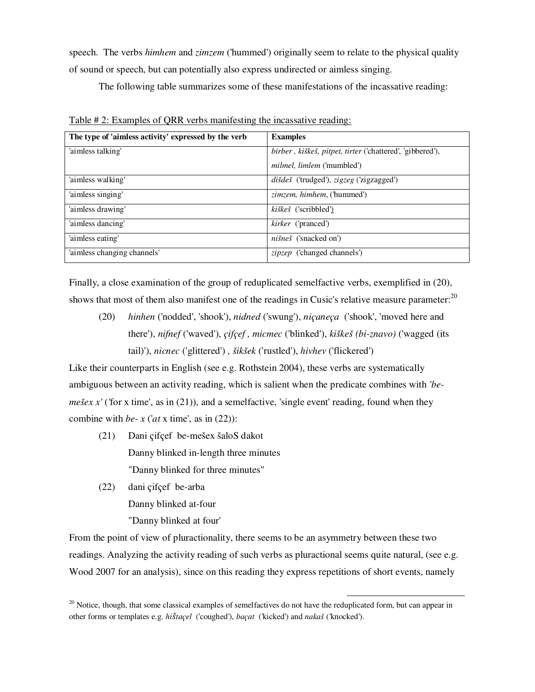speech. The verbs *himhem* and *zimzem* ('hummed') originally seem to relate to the physical quality of sound or speech, but can potentially also express undirected or aimless singing.

The following table summarizes some of these manifestations of the incassative reading:

| The type of 'aimless activity' expressed by the verb | <b>Examples</b>                                           |  |
|------------------------------------------------------|-----------------------------------------------------------|--|
| 'aimless talking'                                    | birber, kiškeš, pitpet, tirter ('chattered', 'gibbered'), |  |
|                                                      | <i>milmel, limlem</i> ('mumbled')                         |  |
| 'aimless walking'                                    | dišdeš ('trudged'), zigzeg ('zigzagged')                  |  |
| 'aimless singing'                                    | zimzem, himhem, ('hummed')                                |  |
| 'aimless drawing'                                    | kiškeš ('scribbled')                                      |  |
| 'aimless dancing'                                    | <i>kirker</i> ('pranced')                                 |  |
| 'aimless eating'                                     | <i>nišneš</i> ('snacked on')                              |  |
| 'aimless changing channels'                          | <i>zipzep</i> ('changed channels')                        |  |

Table # 2: Examples of QRR verbs manifesting the incassative reading:

Finally, a close examination of the group of reduplicated semelfactive verbs, exemplified in (20), shows that most of them also manifest one of the readings in Cusic's relative measure parameter: $^{20}$ 

(20) *hinhen* ('nodded', 'shook'), *nidned* ('swung'), *ni*ҁ*ane*ҁ*a* ('shook', 'moved here and there'), *nifnef* ('waved'), ҁ*if*ҁ*ef , micmec* ('blinked'), *kiškeš (bi-znavo)* ('wagged (its tail)'), *nicnec* ('glittered') *, šikšek* ('rustled'), *hivhev* ('flickered')

Like their counterparts in English (see e.g. Rothstein 2004), these verbs are systematically ambiguous between an activity reading, which is salient when the predicate combines with *'bemešex x'* (*'*for x time', as in (21)), and a semelfactive, 'single event' reading, found when they combine with *be- x* ('*at* x time', as in (22)):

- (21) Dani ҁifҁef be-mešex šaloS dakot Danny blinked in-length three minutes "Danny blinked for three minutes"
- (22) dani çifçef be-arba Danny blinked at-four "Danny blinked at four'

From the point of view of pluractionality, there seems to be an asymmetry between these two readings. Analyzing the activity reading of such verbs as pluractional seems quite natural, (see e.g. Wood 2007 for an analysis), since on this reading they express repetitions of short events, namely

1

<sup>&</sup>lt;sup>20</sup> Notice, though, that some classical examples of semelfactives do not have the reduplicated form, but can appear in other forms or templates e.g. *hišta*ҁ*el* ('coughed'), *ba*ҁ*at* ('kicked') and *nakaš* (*'*knocked').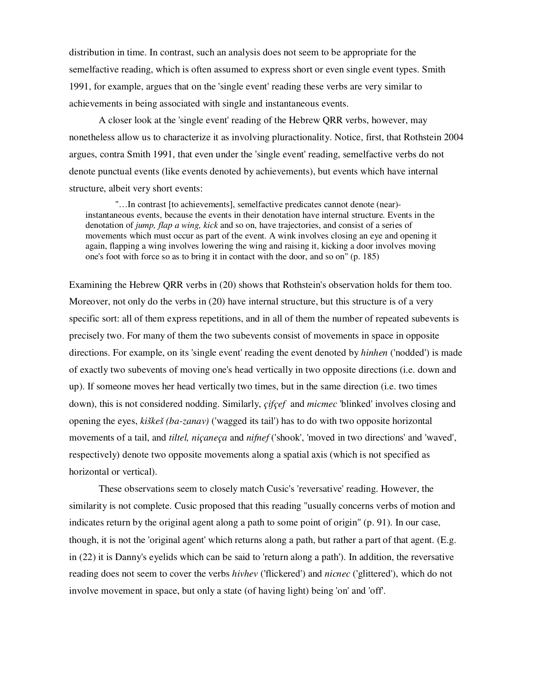distribution in time. In contrast, such an analysis does not seem to be appropriate for the semelfactive reading, which is often assumed to express short or even single event types. Smith 1991, for example, argues that on the 'single event' reading these verbs are very similar to achievements in being associated with single and instantaneous events.

A closer look at the 'single event' reading of the Hebrew QRR verbs, however, may nonetheless allow us to characterize it as involving pluractionality. Notice, first, that Rothstein 2004 argues, contra Smith 1991, that even under the 'single event' reading, semelfactive verbs do not denote punctual events (like events denoted by achievements), but events which have internal structure, albeit very short events:

"…In contrast [to achievements], semelfactive predicates cannot denote (near) instantaneous events, because the events in their denotation have internal structure. Events in the denotation of *jump, flap a wing, kick* and so on, have trajectories, and consist of a series of movements which must occur as part of the event. A wink involves closing an eye and opening it again, flapping a wing involves lowering the wing and raising it, kicking a door involves moving one's foot with force so as to bring it in contact with the door, and so on" (p. 185)

Examining the Hebrew QRR verbs in (20) shows that Rothstein's observation holds for them too. Moreover, not only do the verbs in (20) have internal structure, but this structure is of a very specific sort: all of them express repetitions, and in all of them the number of repeated subevents is precisely two. For many of them the two subevents consist of movements in space in opposite directions. For example, on its 'single event' reading the event denoted by *hinhen* ('nodded') is made of exactly two subevents of moving one's head vertically in two opposite directions (i.e. down and up). If someone moves her head vertically two times, but in the same direction (i.e. two times down), this is not considered nodding. Similarly, ҁ*if*ҁ*ef* and *micmec* 'blinked' involves closing and opening the eyes, *kiškeš (ba-zanav)* ('wagged its tail') has to do with two opposite horizontal movements of a tail, and *tiltel, nicaneca* and *nifnef* ('shook', 'moved in two directions' and 'waved', respectively) denote two opposite movements along a spatial axis (which is not specified as horizontal or vertical).

These observations seem to closely match Cusic's 'reversative' reading. However, the similarity is not complete. Cusic proposed that this reading "usually concerns verbs of motion and indicates return by the original agent along a path to some point of origin" (p. 91). In our case, though, it is not the 'original agent' which returns along a path, but rather a part of that agent. (E.g. in (22) it is Danny's eyelids which can be said to 'return along a path'). In addition, the reversative reading does not seem to cover the verbs *hivhev* ('flickered') and *nicnec* ('glittered'), which do not involve movement in space, but only a state (of having light) being 'on' and 'off'.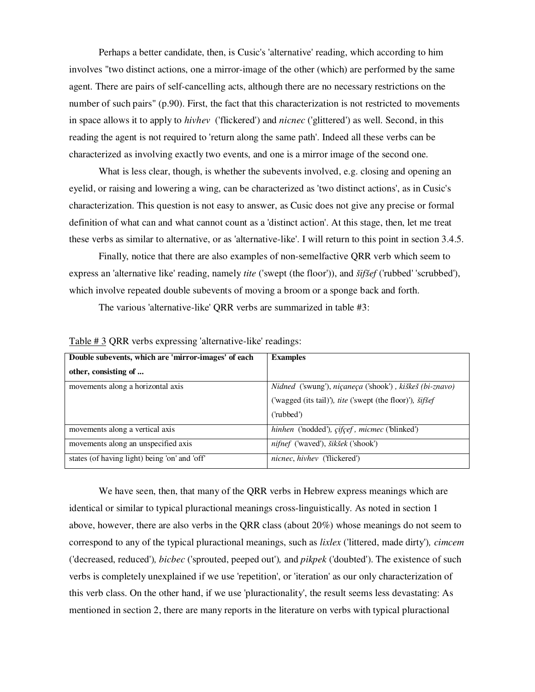Perhaps a better candidate, then, is Cusic's 'alternative' reading, which according to him involves "two distinct actions, one a mirror-image of the other (which) are performed by the same agent. There are pairs of self-cancelling acts, although there are no necessary restrictions on the number of such pairs" (p.90). First, the fact that this characterization is not restricted to movements in space allows it to apply to *hivhev* ('flickered') and *nicnec* ('glittered') as well. Second, in this reading the agent is not required to 'return along the same path'. Indeed all these verbs can be characterized as involving exactly two events, and one is a mirror image of the second one.

What is less clear, though, is whether the subevents involved, e.g. closing and opening an eyelid, or raising and lowering a wing, can be characterized as 'two distinct actions', as in Cusic's characterization. This question is not easy to answer, as Cusic does not give any precise or formal definition of what can and what cannot count as a 'distinct action'. At this stage, then, let me treat these verbs as similar to alternative, or as 'alternative-like'. I will return to this point in section 3.4.5.

 Finally, notice that there are also examples of non-semelfactive QRR verb which seem to express an 'alternative like' reading, namely *tite* ('swept (the floor')), and *šifšef* ('rubbed' 'scrubbed'), which involve repeated double subevents of moving a broom or a sponge back and forth.

The various 'alternative-like' QRR verbs are summarized in table #3:

| Double subevents, which are 'mirror-images' of each | <b>Examples</b>                                                         |  |
|-----------------------------------------------------|-------------------------------------------------------------------------|--|
| other, consisting of                                |                                                                         |  |
| movements along a horizontal axis                   | Nidned ('swung'), niçaneça ('shook'), kiškeš (bi-znavo)                 |  |
|                                                     | ('wagged (its tail)'), <i>tite</i> ('swept (the floor)'), <i>šifšef</i> |  |
|                                                     | ('rubbed')                                                              |  |
| movements along a vertical axis                     | <i>hinhen</i> ('nodded'), <i>cifcef</i> , <i>micmec</i> ('blinked')     |  |
| movements along an unspecified axis                 | <i>nifnef</i> ('waved'), <i>šikšek</i> ('shook')                        |  |
| states (of having light) being 'on' and 'off'       | nicnec, hivhey ('flickered')                                            |  |

Table # 3 QRR verbs expressing 'alternative-like' readings:

We have seen, then, that many of the QRR verbs in Hebrew express meanings which are identical or similar to typical pluractional meanings cross-linguistically. As noted in section 1 above, however, there are also verbs in the QRR class (about 20%) whose meanings do not seem to correspond to any of the typical pluractional meanings, such as *lixlex* ('littered, made dirty')*, cimcem*  ('decreased, reduced')*, bicbec* ('sprouted, peeped out')*,* and *pikpek* ('doubted'). The existence of such verbs is completely unexplained if we use 'repetition', or 'iteration' as our only characterization of this verb class. On the other hand, if we use 'pluractionality', the result seems less devastating: As mentioned in section 2, there are many reports in the literature on verbs with typical pluractional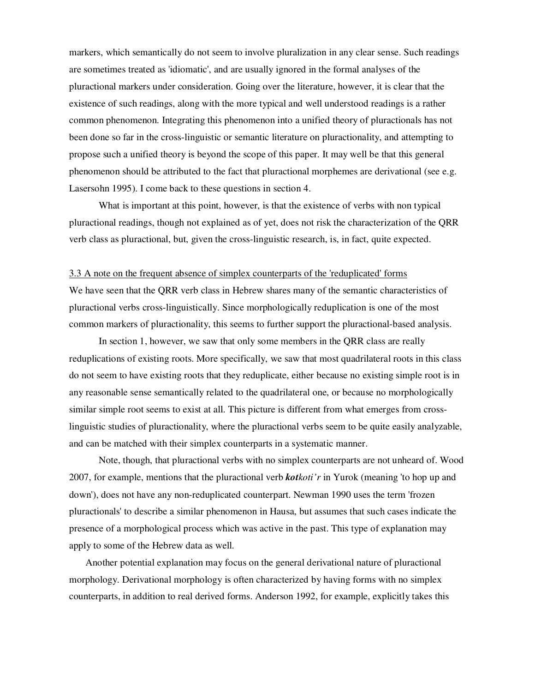markers, which semantically do not seem to involve pluralization in any clear sense. Such readings are sometimes treated as 'idiomatic', and are usually ignored in the formal analyses of the pluractional markers under consideration. Going over the literature, however, it is clear that the existence of such readings, along with the more typical and well understood readings is a rather common phenomenon. Integrating this phenomenon into a unified theory of pluractionals has not been done so far in the cross-linguistic or semantic literature on pluractionality, and attempting to propose such a unified theory is beyond the scope of this paper. It may well be that this general phenomenon should be attributed to the fact that pluractional morphemes are derivational (see e.g. Lasersohn 1995). I come back to these questions in section 4.

What is important at this point, however, is that the existence of verbs with non typical pluractional readings, though not explained as of yet, does not risk the characterization of the QRR verb class as pluractional, but, given the cross-linguistic research, is, in fact, quite expected.

### 3.3 A note on the frequent absence of simplex counterparts of the 'reduplicated' forms

We have seen that the ORR verb class in Hebrew shares many of the semantic characteristics of pluractional verbs cross-linguistically. Since morphologically reduplication is one of the most common markers of pluractionality, this seems to further support the pluractional-based analysis.

In section 1, however, we saw that only some members in the QRR class are really reduplications of existing roots. More specifically, we saw that most quadrilateral roots in this class do not seem to have existing roots that they reduplicate, either because no existing simple root is in any reasonable sense semantically related to the quadrilateral one, or because no morphologically similar simple root seems to exist at all. This picture is different from what emerges from crosslinguistic studies of pluractionality, where the pluractional verbs seem to be quite easily analyzable, and can be matched with their simplex counterparts in a systematic manner.

 Note, though, that pluractional verbs with no simplex counterparts are not unheard of. Wood 2007, for example, mentions that the pluractional verb *kotkoti'r* in Yurok (meaning 'to hop up and down'), does not have any non-reduplicated counterpart. Newman 1990 uses the term 'frozen pluractionals' to describe a similar phenomenon in Hausa, but assumes that such cases indicate the presence of a morphological process which was active in the past. This type of explanation may apply to some of the Hebrew data as well.

Another potential explanation may focus on the general derivational nature of pluractional morphology. Derivational morphology is often characterized by having forms with no simplex counterparts, in addition to real derived forms. Anderson 1992, for example, explicitly takes this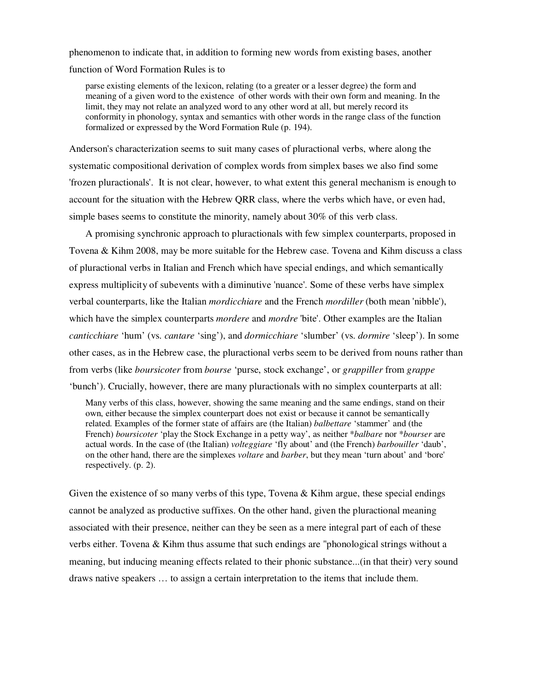phenomenon to indicate that, in addition to forming new words from existing bases, another

function of Word Formation Rules is to

parse existing elements of the lexicon, relating (to a greater or a lesser degree) the form and meaning of a given word to the existence of other words with their own form and meaning. In the limit, they may not relate an analyzed word to any other word at all, but merely record its conformity in phonology, syntax and semantics with other words in the range class of the function formalized or expressed by the Word Formation Rule (p. 194).

Anderson's characterization seems to suit many cases of pluractional verbs, where along the systematic compositional derivation of complex words from simplex bases we also find some 'frozen pluractionals'. It is not clear, however, to what extent this general mechanism is enough to account for the situation with the Hebrew QRR class, where the verbs which have, or even had, simple bases seems to constitute the minority, namely about 30% of this verb class.

A promising synchronic approach to pluractionals with few simplex counterparts, proposed in Tovena & Kihm 2008, may be more suitable for the Hebrew case. Tovena and Kihm discuss a class of pluractional verbs in Italian and French which have special endings, and which semantically express multiplicity of subevents with a diminutive 'nuance'. Some of these verbs have simplex verbal counterparts, like the Italian *mordicchiare* and the French *mordiller* (both mean 'nibble'), which have the simplex counterparts *mordere* and *mordre* 'bite'. Other examples are the Italian *canticchiare* 'hum' (vs. *cantare* 'sing'), and *dormicchiare* 'slumber' (vs. *dormire* 'sleep'). In some other cases, as in the Hebrew case, the pluractional verbs seem to be derived from nouns rather than from verbs (like *boursicoter* from *bourse* 'purse, stock exchange', or *grappiller* from *grappe* 'bunch'). Crucially, however, there are many pluractionals with no simplex counterparts at all:

Many verbs of this class, however, showing the same meaning and the same endings, stand on their own, either because the simplex counterpart does not exist or because it cannot be semantically related. Examples of the former state of affairs are (the Italian) *balbettare* 'stammer' and (the French) *boursicoter* 'play the Stock Exchange in a petty way', as neither \**balbare* nor \**bourser* are actual words. In the case of (the Italian) *volteggiare* 'fly about' and (the French) *barbouiller* 'daub', on the other hand, there are the simplexes *voltare* and *barber*, but they mean 'turn about' and 'bore' respectively. (p. 2).

Given the existence of so many verbs of this type, Tovena  $\&$  Kihm argue, these special endings cannot be analyzed as productive suffixes. On the other hand, given the pluractional meaning associated with their presence, neither can they be seen as a mere integral part of each of these verbs either. Tovena & Kihm thus assume that such endings are "phonological strings without a meaning, but inducing meaning effects related to their phonic substance...(in that their) very sound draws native speakers … to assign a certain interpretation to the items that include them.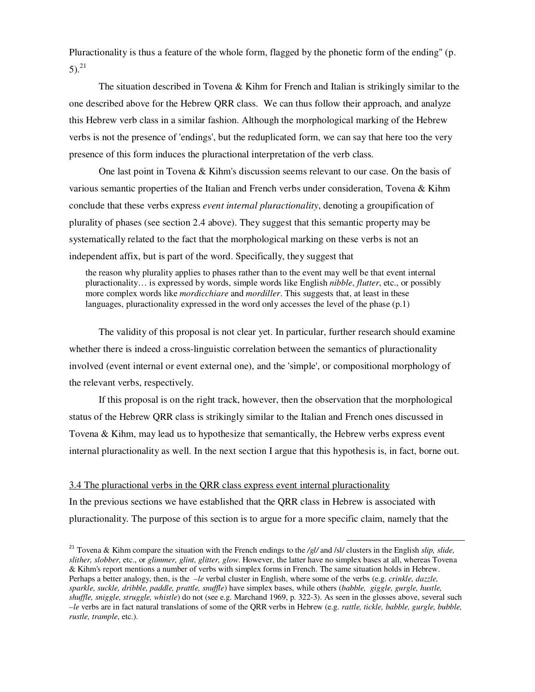Pluractionality is thus a feature of the whole form, flagged by the phonetic form of the ending" (p. 5).<sup>21</sup>

The situation described in Tovena  $&$  Kihm for French and Italian is strikingly similar to the one described above for the Hebrew QRR class. We can thus follow their approach, and analyze this Hebrew verb class in a similar fashion. Although the morphological marking of the Hebrew verbs is not the presence of 'endings', but the reduplicated form, we can say that here too the very presence of this form induces the pluractional interpretation of the verb class.

 One last point in Tovena & Kihm's discussion seems relevant to our case. On the basis of various semantic properties of the Italian and French verbs under consideration, Tovena  $\&$  Kihm conclude that these verbs express *event internal pluractionality*, denoting a groupification of plurality of phases (see section 2.4 above). They suggest that this semantic property may be systematically related to the fact that the morphological marking on these verbs is not an independent affix, but is part of the word. Specifically, they suggest that

the reason why plurality applies to phases rather than to the event may well be that event internal pluractionality… is expressed by words, simple words like English *nibble*, *flutter*, etc., or possibly more complex words like *mordicchiare* and *mordiller*. This suggests that, at least in these languages, pluractionality expressed in the word only accesses the level of the phase (p.1)

 The validity of this proposal is not clear yet. In particular, further research should examine whether there is indeed a cross-linguistic correlation between the semantics of pluractionality involved (event internal or event external one), and the 'simple', or compositional morphology of the relevant verbs, respectively.

If this proposal is on the right track, however, then the observation that the morphological status of the Hebrew QRR class is strikingly similar to the Italian and French ones discussed in Tovena & Kihm, may lead us to hypothesize that semantically, the Hebrew verbs express event internal pluractionality as well. In the next section I argue that this hypothesis is, in fact, borne out.

3.4 The pluractional verbs in the QRR class express event internal pluractionality In the previous sections we have established that the QRR class in Hebrew is associated with pluractionality. The purpose of this section is to argue for a more specific claim, namely that the

<sup>21</sup> Tovena & Kihm compare the situation with the French endings to the */gl/* and /sl/ clusters in the English *slip, slide, slither, slobber,* etc., or *glimmer, glint, glitter, glow*. However, the latter have no simplex bases at all, whereas Tovena & Kihm's report mentions a number of verbs with simplex forms in French. The same situation holds in Hebrew. Perhaps a better analogy, then, is the *–le* verbal cluster in English, where some of the verbs (e.g. *crinkle, dazzle, sparkle, suckle, dribble, paddle, prattle, snuffle*) have simplex bases, while others (*babble, giggle, gurgle, hustle, shuffle, sniggle, struggle, whistle*) do not (see e.g. Marchand 1969, p. 322-3). As seen in the glosses above, several such *–le* verbs are in fact natural translations of some of the QRR verbs in Hebrew (e.g. *rattle, tickle, babble, gurgle, bubble, rustle, trample*, etc.).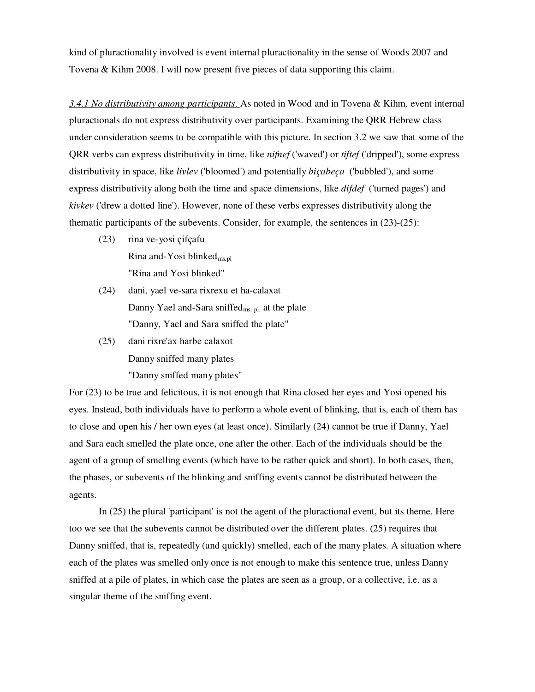kind of pluractionality involved is event internal pluractionality in the sense of Woods 2007 and Tovena & Kihm 2008. I will now present five pieces of data supporting this claim.

*3.4.1 No distributivity among participants*. As noted in Wood and in Tovena & Kihm*,* event internal pluractionals do not express distributivity over participants. Examining the QRR Hebrew class under consideration seems to be compatible with this picture. In section 3.2 we saw that some of the QRR verbs can express distributivity in time, like *nifnef* ('waved') or *tiftef* ('dripped'), some express distributivity in space, like *livlev* ('bloomed') and potentially *bi*ҁ*abe*ҁ*a* ('bubbled'), and some express distributivity along both the time and space dimensions, like *difdef* ('turned pages') and *kivkev* ('drew a dotted line'). However, none of these verbs expresses distributivity along the thematic participants of the subevents. Consider, for example, the sentences in (23)-(25):

 (23) rina ve-yosi ҁifҁafu Rina and-Yosi blinked $_{\text{ms.pl}}$ 

"Rina and Yosi blinked"

- (24) dani, yael ve-sara rixrexu et ha-calaxat Danny Yael and-Sara sniffed<sub>ms. pl.</sub> at the plate "Danny, Yael and Sara sniffed the plate"
- (25) dani rixre'ax harbe calaxot Danny sniffed many plates "Danny sniffed many plates"

For (23) to be true and felicitous, it is not enough that Rina closed her eyes and Yosi opened his eyes. Instead, both individuals have to perform a whole event of blinking, that is, each of them has to close and open his / her own eyes (at least once). Similarly (24) cannot be true if Danny, Yael and Sara each smelled the plate once, one after the other. Each of the individuals should be the agent of a group of smelling events (which have to be rather quick and short). In both cases, then, the phases, or subevents of the blinking and sniffing events cannot be distributed between the agents.

 In (25) the plural 'participant' is not the agent of the pluractional event, but its theme. Here too we see that the subevents cannot be distributed over the different plates. (25) requires that Danny sniffed, that is, repeatedly (and quickly) smelled, each of the many plates. A situation where each of the plates was smelled only once is not enough to make this sentence true, unless Danny sniffed at a pile of plates, in which case the plates are seen as a group, or a collective, i.e. as a singular theme of the sniffing event.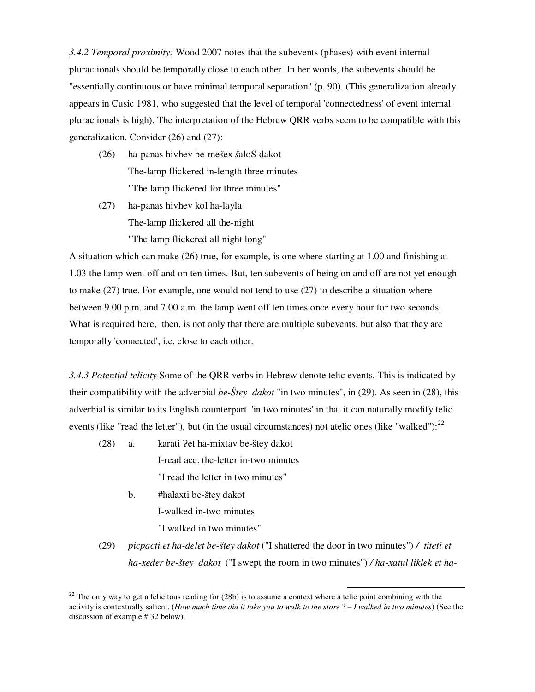*3.4.2 Temporal proximity:* Wood 2007 notes that the subevents (phases) with event internal pluractionals should be temporally close to each other. In her words, the subevents should be "essentially continuous or have minimal temporal separation" (p. 90). (This generalization already appears in Cusic 1981, who suggested that the level of temporal 'connectedness' of event internal pluractionals is high). The interpretation of the Hebrew QRR verbs seem to be compatible with this generalization. Consider (26) and (27):

- (26) ha-panas hivhev be-me*š*ex *š*aloS dakot The-lamp flickered in-length three minutes "The lamp flickered for three minutes"
- (27) ha-panas hivhev kol ha-layla The-lamp flickered all the-night "The lamp flickered all night long"

A situation which can make (26) true, for example, is one where starting at 1.00 and finishing at 1.03 the lamp went off and on ten times. But, ten subevents of being on and off are not yet enough to make (27) true. For example, one would not tend to use (27) to describe a situation where between 9.00 p.m. and 7.00 a.m. the lamp went off ten times once every hour for two seconds. What is required here, then, is not only that there are multiple subevents, but also that they are temporally 'connected', i.e. close to each other.

*3.4.3 Potential telicity* Some of the QRR verbs in Hebrew denote telic events. This is indicated by their compatibility with the adverbial *be-Štey dakot* "in two minutes", in (29). As seen in (28), this adverbial is similar to its English counterpart 'in two minutes' in that it can naturally modify telic events (like "read the letter"), but (in the usual circumstances) not atelic ones (like "walked"): $^{22}$ 

- (28) a. karati Ɂet ha-mixtav be-štey dakot I-read acc. the-letter in-two minutes "I read the letter in two minutes"
	- b. #halaxti be-štey dakot I-walked in-two minutes "I walked in two minutes"
- (29) *picpacti et ha-delet be-štey dakot* ("I shattered the door in two minutes") */ titeti et ha-xeder be-štey dakot* ("I swept the room in two minutes") */ ha-xatul liklek et ha-*

 $22$  The only way to get a felicitous reading for (28b) is to assume a context where a telic point combining with the activity is contextually salient. (*How much time did it take you to walk to the store* ? – *I walked in two minutes*) (See the discussion of example # 32 below).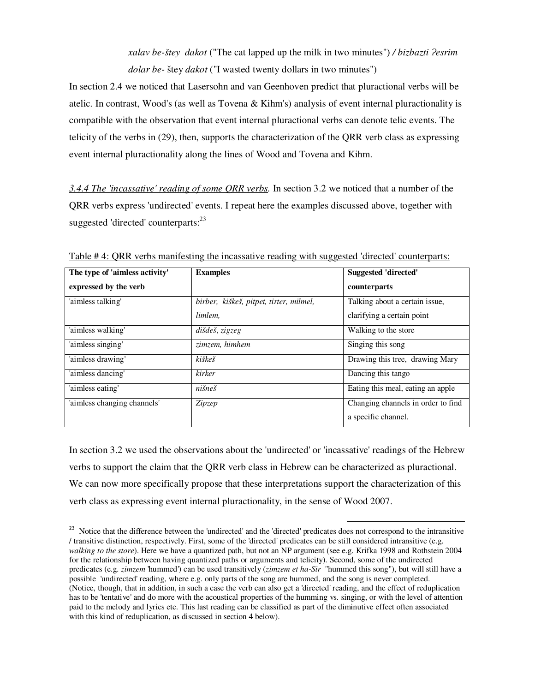*xalav be-štey dakot* ("The cat lapped up the milk in two minutes") */ bizbazti ?esrim dolar be-* štey *dakot* ("I wasted twenty dollars in two minutes")

In section 2.4 we noticed that Lasersohn and van Geenhoven predict that pluractional verbs will be atelic. In contrast, Wood's (as well as Tovena & Kihm's) analysis of event internal pluractionality is compatible with the observation that event internal pluractional verbs can denote telic events. The telicity of the verbs in (29), then, supports the characterization of the QRR verb class as expressing event internal pluractionality along the lines of Wood and Tovena and Kihm.

*3.4.4 The 'incassative' reading of some QRR verbs.* In section 3.2 we noticed that a number of the QRR verbs express 'undirected' events. I repeat here the examples discussed above, together with suggested 'directed' counterparts:<sup>23</sup>

| The type of 'aimless activity' | <b>Examples</b>                         | <b>Suggested 'directed'</b>        |
|--------------------------------|-----------------------------------------|------------------------------------|
| expressed by the verb          |                                         | counterparts                       |
| 'aimless talking'              | birber, kiškeš, pitpet, tirter, milmel, | Talking about a certain issue,     |
|                                | limlem.                                 | clarifying a certain point         |
| 'aimless walking'              | dišdeš, zigzeg                          | Walking to the store               |
| 'aimless singing'              | zimzem, himhem                          | Singing this song                  |
| 'aimless drawing'              | kiškeš                                  | Drawing this tree, drawing Mary    |
| 'aimless dancing'              | kirker                                  | Dancing this tango                 |
| 'aimless eating'               | nišneš                                  | Eating this meal, eating an apple  |
| 'aimless changing channels'    | Zipzep                                  | Changing channels in order to find |
|                                |                                         | a specific channel.                |

Table # 4: QRR verbs manifesting the incassative reading with suggested 'directed' counterparts:

In section 3.2 we used the observations about the 'undirected' or 'incassative' readings of the Hebrew verbs to support the claim that the QRR verb class in Hebrew can be characterized as pluractional. We can now more specifically propose that these interpretations support the characterization of this verb class as expressing event internal pluractionality, in the sense of Wood 2007.

<sup>&</sup>lt;sup>23</sup> Notice that the difference between the 'undirected' and the 'directed' predicates does not correspond to the intransitive / transitive distinction, respectively. First, some of the 'directed' predicates can be still considered intransitive (e.g. *walking to the store*). Here we have a quantized path, but not an NP argument (see e.g. Krifka 1998 and Rothstein 2004 for the relationship between having quantized paths or arguments and telicity). Second, some of the undirected predicates (e.g. *zimzem* 'hummed') can be used transitively (*zimzem et ha-Sir* "hummed this song"), but will still have a possible 'undirected' reading, where e.g. only parts of the song are hummed, and the song is never completed. (Notice, though, that in addition, in such a case the verb can also get a 'directed' reading, and the effect of reduplication has to be 'tentative' and do more with the acoustical properties of the humming vs. singing, or with the level of attention paid to the melody and lyrics etc. This last reading can be classified as part of the diminutive effect often associated with this kind of reduplication, as discussed in section 4 below).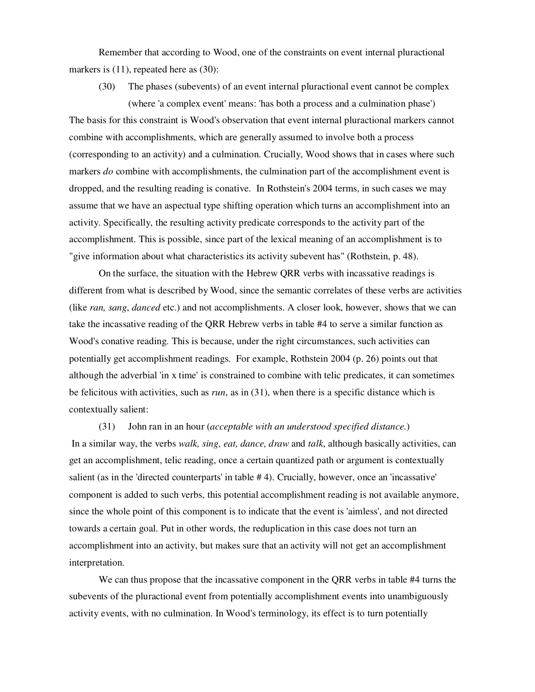Remember that according to Wood, one of the constraints on event internal pluractional markers is  $(11)$ , repeated here as  $(30)$ :

(30) The phases (subevents) of an event internal pluractional event cannot be complex (where 'a complex event' means: 'has both a process and a culmination phase')

The basis for this constraint is Wood's observation that event internal pluractional markers cannot combine with accomplishments, which are generally assumed to involve both a process (corresponding to an activity) and a culmination. Crucially, Wood shows that in cases where such markers *do* combine with accomplishments, the culmination part of the accomplishment event is dropped, and the resulting reading is conative. In Rothstein's 2004 terms, in such cases we may assume that we have an aspectual type shifting operation which turns an accomplishment into an activity. Specifically, the resulting activity predicate corresponds to the activity part of the accomplishment. This is possible, since part of the lexical meaning of an accomplishment is to "give information about what characteristics its activity subevent has" (Rothstein, p. 48).

 On the surface, the situation with the Hebrew QRR verbs with incassative readings is different from what is described by Wood, since the semantic correlates of these verbs are activities (like *ran, sang*, *danced* etc.) and not accomplishments. A closer look, however, shows that we can take the incassative reading of the QRR Hebrew verbs in table #4 to serve a similar function as Wood's conative reading. This is because, under the right circumstances, such activities can potentially get accomplishment readings. For example, Rothstein 2004 (p. 26) points out that although the adverbial 'in x time' is constrained to combine with telic predicates, it can sometimes be felicitous with activities, such as *run*, as in (31), when there is a specific distance which is contextually salient:

(31) John ran in an hour (*acceptable with an understood specified distance.*) In a similar way, the verbs *walk, sing, eat, dance, draw* and *talk*, although basically activities, can get an accomplishment, telic reading, once a certain quantized path or argument is contextually salient (as in the 'directed counterparts' in table # 4). Crucially, however, once an 'incassative' component is added to such verbs, this potential accomplishment reading is not available anymore, since the whole point of this component is to indicate that the event is 'aimless', and not directed towards a certain goal. Put in other words, the reduplication in this case does not turn an accomplishment into an activity, but makes sure that an activity will not get an accomplishment interpretation.

We can thus propose that the incassative component in the QRR verbs in table #4 turns the subevents of the pluractional event from potentially accomplishment events into unambiguously activity events, with no culmination. In Wood's terminology, its effect is to turn potentially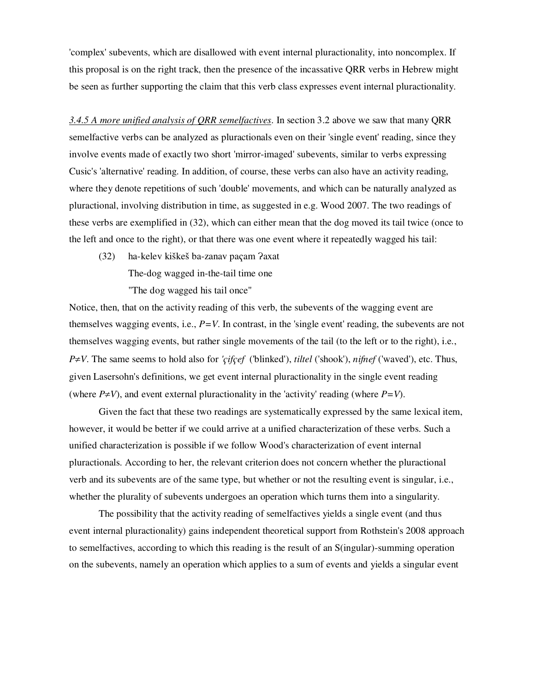'complex' subevents, which are disallowed with event internal pluractionality, into noncomplex. If this proposal is on the right track, then the presence of the incassative QRR verbs in Hebrew might be seen as further supporting the claim that this verb class expresses event internal pluractionality.

*3.4.5 A more unified analysis of QRR semelfactives*. In section 3.2 above we saw that many QRR semelfactive verbs can be analyzed as pluractionals even on their 'single event' reading, since they involve events made of exactly two short 'mirror-imaged' subevents, similar to verbs expressing Cusic's 'alternative' reading. In addition, of course, these verbs can also have an activity reading, where they denote repetitions of such 'double' movements, and which can be naturally analyzed as pluractional, involving distribution in time, as suggested in e.g. Wood 2007. The two readings of these verbs are exemplified in (32), which can either mean that the dog moved its tail twice (once to the left and once to the right), or that there was one event where it repeatedly wagged his tail:

(32) ha-kelev kiškeš ba-zanav paçam ?axat The-dog wagged in-the-tail time one "The dog wagged his tail once"

Notice, then, that on the activity reading of this verb, the subevents of the wagging event are themselves wagging events, i.e., *P=V*. In contrast, in the 'single event' reading, the subevents are not themselves wagging events, but rather single movements of the tail (to the left or to the right), i.e., *P*≠*V*. The same seems to hold also for *'*ҁ*if*ҁ*ef* ('blinked'), *tiltel* ('shook'), *nifnef* ('waved'), etc. Thus, given Lasersohn's definitions, we get event internal pluractionality in the single event reading (where  $P\neq V$ ), and event external pluractionality in the 'activity' reading (where  $P=V$ ).

Given the fact that these two readings are systematically expressed by the same lexical item, however, it would be better if we could arrive at a unified characterization of these verbs. Such a unified characterization is possible if we follow Wood's characterization of event internal pluractionals. According to her, the relevant criterion does not concern whether the pluractional verb and its subevents are of the same type, but whether or not the resulting event is singular, i.e., whether the plurality of subevents undergoes an operation which turns them into a singularity.

The possibility that the activity reading of semelfactives yields a single event (and thus event internal pluractionality) gains independent theoretical support from Rothstein's 2008 approach to semelfactives, according to which this reading is the result of an S(ingular)-summing operation on the subevents, namely an operation which applies to a sum of events and yields a singular event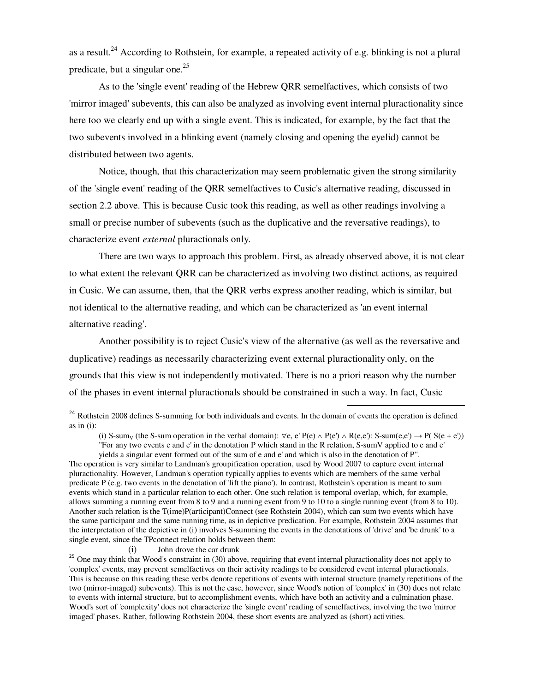as a result.<sup>24</sup> According to Rothstein, for example, a repeated activity of e.g. blinking is not a plural predicate, but a singular one.<sup>25</sup>

As to the 'single event' reading of the Hebrew QRR semelfactives, which consists of two 'mirror imaged' subevents, this can also be analyzed as involving event internal pluractionality since here too we clearly end up with a single event. This is indicated, for example, by the fact that the two subevents involved in a blinking event (namely closing and opening the eyelid) cannot be distributed between two agents.

Notice, though, that this characterization may seem problematic given the strong similarity of the 'single event' reading of the QRR semelfactives to Cusic's alternative reading, discussed in section 2.2 above. This is because Cusic took this reading, as well as other readings involving a small or precise number of subevents (such as the duplicative and the reversative readings), to characterize event *external* pluractionals only.

There are two ways to approach this problem. First, as already observed above, it is not clear to what extent the relevant QRR can be characterized as involving two distinct actions, as required in Cusic. We can assume, then, that the QRR verbs express another reading, which is similar, but not identical to the alternative reading, and which can be characterized as 'an event internal alternative reading'.

Another possibility is to reject Cusic's view of the alternative (as well as the reversative and duplicative) readings as necessarily characterizing event external pluractionality only, on the grounds that this view is not independently motivated. There is no a priori reason why the number of the phases in event internal pluractionals should be constrained in such a way. In fact, Cusic

(i) S-sum<sub>V</sub> (the S-sum operation in the verbal domain):  $\forall e, e' P(e) \land P(e') \land R(e,e')$ : S-sum(e,e')  $\rightarrow P(S(e+e'))$ "For any two events e and e' in the denotation P which stand in the R relation, S-sumV applied to e and e'

 $\overline{a}$ 

yields a singular event formed out of the sum of e and e' and which is also in the denotation of P". The operation is very similar to Landman's groupification operation, used by Wood 2007 to capture event internal pluractionality. However, Landman's operation typically applies to events which are members of the same verbal predicate P (e.g. two events in the denotation of 'lift the piano'). In contrast, Rothstein's operation is meant to sum events which stand in a particular relation to each other. One such relation is temporal overlap, which, for example, allows summing a running event from 8 to 9 and a running event from 9 to 10 to a single running event (from 8 to 10). Another such relation is the T(ime)P(articipant)Connect (see Rothstein 2004), which can sum two events which have the same participant and the same running time, as in depictive predication. For example, Rothstein 2004 assumes that the interpretation of the depictive in (i) involves S-summing the events in the denotations of 'drive' and 'be drunk' to a single event, since the TPconnect relation holds between them:

(i) John drove the car drunk

<sup>25</sup> One may think that Wood's constraint in (30) above, requiring that event internal pluractionality does not apply to 'complex' events, may prevent semelfactives on their activity readings to be considered event internal pluractionals. This is because on this reading these verbs denote repetitions of events with internal structure (namely repetitions of the two (mirror-imaged) subevents). This is not the case, however, since Wood's notion of 'complex' in (30) does not relate to events with internal structure, but to accomplishment events, which have both an activity and a culmination phase. Wood's sort of 'complexity' does not characterize the 'single event' reading of semelfactives, involving the two 'mirror imaged' phases. Rather, following Rothstein 2004, these short events are analyzed as (short) activities.

<sup>&</sup>lt;sup>24</sup> Rothstein 2008 defines S-summing for both individuals and events. In the domain of events the operation is defined as in (i):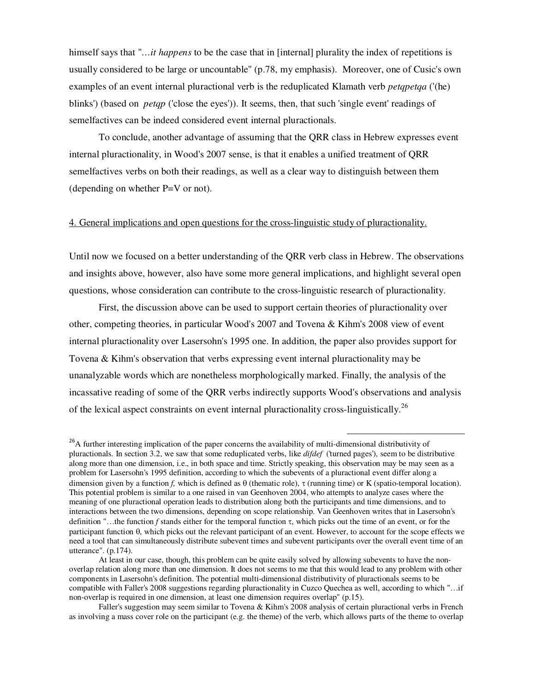himself says that "...*it happens* to be the case that in [internal] plurality the index of repetitions is usually considered to be large or uncountable" (p.78, my emphasis). Moreover, one of Cusic's own examples of an event internal pluractional verb is the reduplicated Klamath verb *petqpetqa* ('(he) blinks') (based on *petqp* ('close the eyes')). It seems, then, that such 'single event' readings of semelfactives can be indeed considered event internal pluractionals.

To conclude, another advantage of assuming that the QRR class in Hebrew expresses event internal pluractionality, in Wood's 2007 sense, is that it enables a unified treatment of QRR semelfactives verbs on both their readings, as well as a clear way to distinguish between them (depending on whether P=V or not).

## 4. General implications and open questions for the cross-linguistic study of pluractionality.

Until now we focused on a better understanding of the QRR verb class in Hebrew. The observations and insights above, however, also have some more general implications, and highlight several open questions, whose consideration can contribute to the cross-linguistic research of pluractionality.

 First, the discussion above can be used to support certain theories of pluractionality over other, competing theories, in particular Wood's 2007 and Tovena & Kihm's 2008 view of event internal pluractionality over Lasersohn's 1995 one. In addition, the paper also provides support for Tovena & Kihm's observation that verbs expressing event internal pluractionality may be unanalyzable words which are nonetheless morphologically marked. Finally, the analysis of the incassative reading of some of the QRR verbs indirectly supports Wood's observations and analysis of the lexical aspect constraints on event internal pluractionality cross-linguistically.<sup>26</sup>

l,

<sup>&</sup>lt;sup>26</sup>A further interesting implication of the paper concerns the availability of multi-dimensional distributivity of pluractionals. In section 3.2, we saw that some reduplicated verbs, like *difdef* ('turned pages'), seem to be distributive along more than one dimension, i.e., in both space and time. Strictly speaking, this observation may be may seen as a problem for Lasersohn's 1995 definition, according to which the subevents of a pluractional event differ along a dimension given by a function *f,* which is defined as θ (thematic role), τ (running time) or K (spatio-temporal location). This potential problem is similar to a one raised in van Geenhoven 2004, who attempts to analyze cases where the meaning of one pluractional operation leads to distribution along both the participants and time dimensions, and to interactions between the two dimensions, depending on scope relationship. Van Geenhoven writes that in Lasersohn's definition "…the function *f* stands either for the temporal function τ, which picks out the time of an event, or for the participant function θ, which picks out the relevant participant of an event. However, to account for the scope effects we need a tool that can simultaneously distribute subevent times and subevent participants over the overall event time of an utterance". (p.174).

At least in our case, though, this problem can be quite easily solved by allowing subevents to have the nonoverlap relation along more than one dimension. It does not seems to me that this would lead to any problem with other components in Lasersohn's definition. The potential multi-dimensional distributivity of pluractionals seems to be compatible with Faller's 2008 suggestions regarding pluractionality in Cuzco Quechea as well, according to which "…if non-overlap is required in one dimension, at least one dimension requires overlap" (p.15).

Ì, Faller's suggestion may seem similar to Tovena & Kihm's 2008 analysis of certain pluractional verbs in French as involving a mass cover role on the participant (e.g. the theme) of the verb, which allows parts of the theme to overlap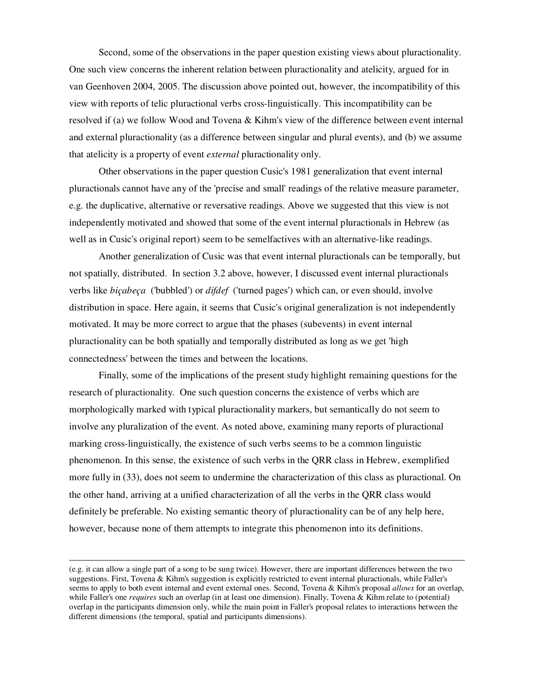Second, some of the observations in the paper question existing views about pluractionality. One such view concerns the inherent relation between pluractionality and atelicity, argued for in van Geenhoven 2004, 2005. The discussion above pointed out, however, the incompatibility of this view with reports of telic pluractional verbs cross-linguistically. This incompatibility can be resolved if (a) we follow Wood and Tovena & Kihm's view of the difference between event internal and external pluractionality (as a difference between singular and plural events), and (b) we assume that atelicity is a property of event *external* pluractionality only.

Other observations in the paper question Cusic's 1981 generalization that event internal pluractionals cannot have any of the 'precise and small' readings of the relative measure parameter, e.g. the duplicative, alternative or reversative readings. Above we suggested that this view is not independently motivated and showed that some of the event internal pluractionals in Hebrew (as well as in Cusic's original report) seem to be semelfactives with an alternative-like readings.

Another generalization of Cusic was that event internal pluractionals can be temporally, but not spatially, distributed. In section 3.2 above, however, I discussed event internal pluractionals verbs like *bi*ҁ*abe*ҁ*a* ('bubbled') or *difdef* ('turned pages') which can, or even should, involve distribution in space. Here again, it seems that Cusic's original generalization is not independently motivated. It may be more correct to argue that the phases (subevents) in event internal pluractionality can be both spatially and temporally distributed as long as we get 'high connectedness' between the times and between the locations.

Finally, some of the implications of the present study highlight remaining questions for the research of pluractionality. One such question concerns the existence of verbs which are morphologically marked with typical pluractionality markers, but semantically do not seem to involve any pluralization of the event. As noted above, examining many reports of pluractional marking cross-linguistically, the existence of such verbs seems to be a common linguistic phenomenon. In this sense, the existence of such verbs in the QRR class in Hebrew, exemplified more fully in (33), does not seem to undermine the characterization of this class as pluractional. On the other hand, arriving at a unified characterization of all the verbs in the QRR class would definitely be preferable. No existing semantic theory of pluractionality can be of any help here, however, because none of them attempts to integrate this phenomenon into its definitions.

-

<sup>(</sup>e.g. it can allow a single part of a song to be sung twice). However, there are important differences between the two suggestions. First, Tovena & Kihm's suggestion is explicitly restricted to event internal pluractionals, while Faller's seems to apply to both event internal and event external ones. Second, Tovena & Kihm's proposal *allows* for an overlap, while Faller's one *requires* such an overlap (in at least one dimension). Finally, Tovena & Kihm relate to (potential) overlap in the participants dimension only, while the main point in Faller's proposal relates to interactions between the different dimensions (the temporal, spatial and participants dimensions).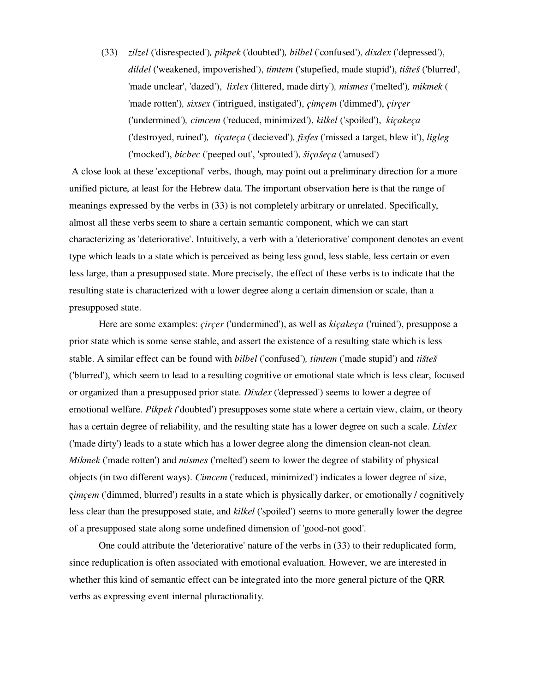(33) *zilzel* ('disrespected')*, pikpek* ('doubted')*, bilbel* ('confused'), *dixdex* ('depressed'), *dildel* ('weakened, impoverished'), *timtem* ('stupefied, made stupid'), *tišteš* ('blurred', 'made unclear', 'dazed'), *lixlex* (littered, made dirty')*, mismes* ('melted')*, mikmek* ( 'made rotten')*, sixsex* ('intrigued, instigated'), ҁ*im*ҁ*em* ('dimmed'), ҁ*ir*ҁ*er* ('undermined')*, cimcem* ('reduced, minimized'), *kilkel* ('spoiled'), *ki*ҁ*ake*ҁ*a*  ('destroyed, ruined')*, ti*ҁ*ate*ҁ*a* ('decieved')*, fisfes* ('missed a target, blew it'), *ligleg* ('mocked'), *bicbec* ('peeped out', 'sprouted'), *ši*ҁ*aše*ҁ*a* ('amused')

 A close look at these 'exceptional' verbs, though, may point out a preliminary direction for a more unified picture, at least for the Hebrew data. The important observation here is that the range of meanings expressed by the verbs in (33) is not completely arbitrary or unrelated. Specifically, almost all these verbs seem to share a certain semantic component, which we can start characterizing as 'deteriorative'. Intuitively, a verb with a 'deteriorative' component denotes an event type which leads to a state which is perceived as being less good, less stable, less certain or even less large, than a presupposed state. More precisely, the effect of these verbs is to indicate that the resulting state is characterized with a lower degree along a certain dimension or scale, than a presupposed state.

 Here are some examples: ҁ*ir*ҁ*er* ('undermined'), as well as *ki*ҁ*ake*ҁ*a* ('ruined'), presuppose a prior state which is some sense stable, and assert the existence of a resulting state which is less stable. A similar effect can be found with *bilbel* ('confused')*, timtem* ('made stupid') and *tišteš*  ('blurred'), which seem to lead to a resulting cognitive or emotional state which is less clear, focused or organized than a presupposed prior state. *Dixdex* ('depressed') seems to lower a degree of emotional welfare. *Pikpek (*'doubted') presupposes some state where a certain view, claim, or theory has a certain degree of reliability, and the resulting state has a lower degree on such a scale. *Lixlex* ('made dirty') leads to a state which has a lower degree along the dimension clean-not clean. *Mikmek* ('made rotten') and *mismes* ('melted') seem to lower the degree of stability of physical objects (in two different ways). *Cimcem* ('reduced, minimized') indicates a lower degree of size, ҁ*im*ҁ*em* ('dimmed, blurred') results in a state which is physically darker, or emotionally / cognitively less clear than the presupposed state, and *kilkel* ('spoiled') seems to more generally lower the degree of a presupposed state along some undefined dimension of 'good-not good'.

 One could attribute the 'deteriorative' nature of the verbs in (33) to their reduplicated form, since reduplication is often associated with emotional evaluation. However, we are interested in whether this kind of semantic effect can be integrated into the more general picture of the QRR verbs as expressing event internal pluractionality.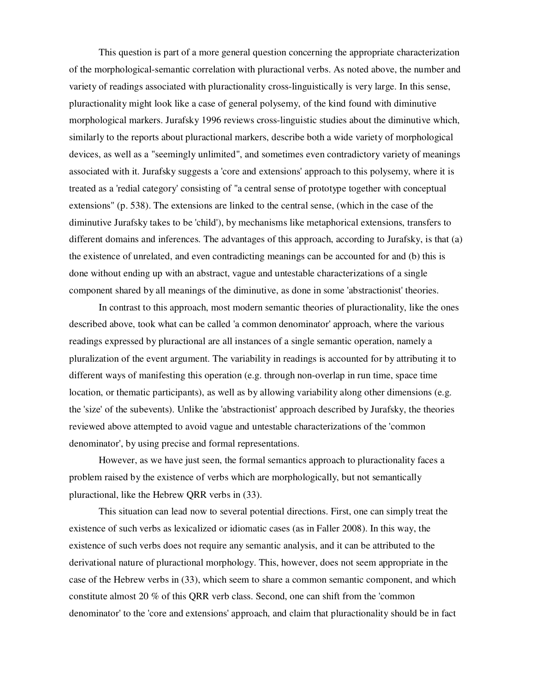This question is part of a more general question concerning the appropriate characterization of the morphological-semantic correlation with pluractional verbs. As noted above, the number and variety of readings associated with pluractionality cross-linguistically is very large. In this sense, pluractionality might look like a case of general polysemy, of the kind found with diminutive morphological markers. Jurafsky 1996 reviews cross-linguistic studies about the diminutive which, similarly to the reports about pluractional markers, describe both a wide variety of morphological devices, as well as a "seemingly unlimited", and sometimes even contradictory variety of meanings associated with it. Jurafsky suggests a 'core and extensions' approach to this polysemy, where it is treated as a 'redial category' consisting of "a central sense of prototype together with conceptual extensions" (p. 538). The extensions are linked to the central sense, (which in the case of the diminutive Jurafsky takes to be 'child'), by mechanisms like metaphorical extensions, transfers to different domains and inferences. The advantages of this approach, according to Jurafsky, is that (a) the existence of unrelated, and even contradicting meanings can be accounted for and (b) this is done without ending up with an abstract, vague and untestable characterizations of a single component shared by all meanings of the diminutive, as done in some 'abstractionist' theories.

 In contrast to this approach, most modern semantic theories of pluractionality, like the ones described above, took what can be called 'a common denominator' approach, where the various readings expressed by pluractional are all instances of a single semantic operation, namely a pluralization of the event argument. The variability in readings is accounted for by attributing it to different ways of manifesting this operation (e.g. through non-overlap in run time, space time location, or thematic participants), as well as by allowing variability along other dimensions (e.g. the 'size' of the subevents). Unlike the 'abstractionist' approach described by Jurafsky, the theories reviewed above attempted to avoid vague and untestable characterizations of the 'common denominator', by using precise and formal representations.

 However, as we have just seen, the formal semantics approach to pluractionality faces a problem raised by the existence of verbs which are morphologically, but not semantically pluractional, like the Hebrew QRR verbs in (33).

 This situation can lead now to several potential directions. First, one can simply treat the existence of such verbs as lexicalized or idiomatic cases (as in Faller 2008). In this way, the existence of such verbs does not require any semantic analysis, and it can be attributed to the derivational nature of pluractional morphology. This, however, does not seem appropriate in the case of the Hebrew verbs in (33), which seem to share a common semantic component, and which constitute almost 20 % of this QRR verb class. Second, one can shift from the 'common denominator' to the 'core and extensions' approach, and claim that pluractionality should be in fact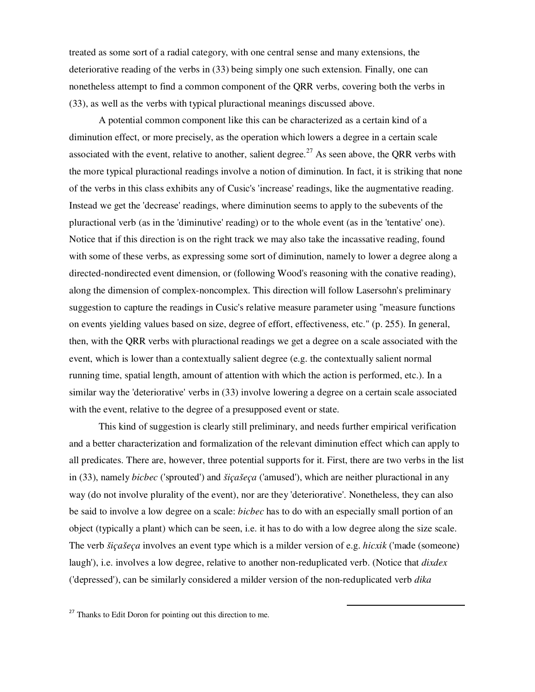treated as some sort of a radial category, with one central sense and many extensions, the deteriorative reading of the verbs in (33) being simply one such extension. Finally, one can nonetheless attempt to find a common component of the QRR verbs, covering both the verbs in (33), as well as the verbs with typical pluractional meanings discussed above.

 A potential common component like this can be characterized as a certain kind of a diminution effect, or more precisely, as the operation which lowers a degree in a certain scale associated with the event, relative to another, salient degree.<sup>27</sup> As seen above, the ORR verbs with the more typical pluractional readings involve a notion of diminution. In fact, it is striking that none of the verbs in this class exhibits any of Cusic's 'increase' readings, like the augmentative reading. Instead we get the 'decrease' readings, where diminution seems to apply to the subevents of the pluractional verb (as in the 'diminutive' reading) or to the whole event (as in the 'tentative' one). Notice that if this direction is on the right track we may also take the incassative reading, found with some of these verbs, as expressing some sort of diminution, namely to lower a degree along a directed-nondirected event dimension, or (following Wood's reasoning with the conative reading), along the dimension of complex-noncomplex. This direction will follow Lasersohn's preliminary suggestion to capture the readings in Cusic's relative measure parameter using "measure functions on events yielding values based on size, degree of effort, effectiveness, etc." (p. 255). In general, then, with the QRR verbs with pluractional readings we get a degree on a scale associated with the event, which is lower than a contextually salient degree (e.g. the contextually salient normal running time, spatial length, amount of attention with which the action is performed, etc.). In a similar way the 'deteriorative' verbs in (33) involve lowering a degree on a certain scale associated with the event, relative to the degree of a presupposed event or state.

 This kind of suggestion is clearly still preliminary, and needs further empirical verification and a better characterization and formalization of the relevant diminution effect which can apply to all predicates. There are, however, three potential supports for it. First, there are two verbs in the list in (33), namely *bicbec* ('sprouted') and *ši*ҁ*aše*ҁ*a* ('amused'), which are neither pluractional in any way (do not involve plurality of the event), nor are they 'deteriorative'. Nonetheless, they can also be said to involve a low degree on a scale: *bicbec* has to do with an especially small portion of an object (typically a plant) which can be seen, i.e. it has to do with a low degree along the size scale. The verb *ši*ҁ*aše*ҁ*a* involves an event type which is a milder version of e.g. *hicxik* ('made (someone) laugh'), i.e. involves a low degree, relative to another non-reduplicated verb. (Notice that *dixdex* ('depressed'), can be similarly considered a milder version of the non-reduplicated verb *dika*

<sup>&</sup>lt;sup>27</sup> Thanks to Edit Doron for pointing out this direction to me.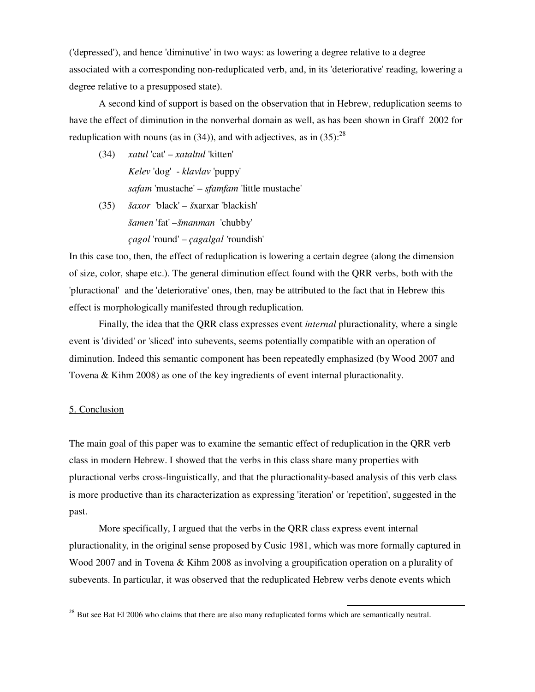('depressed'), and hence 'diminutive' in two ways: as lowering a degree relative to a degree associated with a corresponding non-reduplicated verb, and, in its 'deteriorative' reading, lowering a degree relative to a presupposed state).

 A second kind of support is based on the observation that in Hebrew, reduplication seems to have the effect of diminution in the nonverbal domain as well, as has been shown in Graff 2002 for reduplication with nouns (as in  $(34)$ ), and with adjectives, as in  $(35)$ :<sup>28</sup>

- (34) *xatul* 'cat' *xataltul* 'kitten' *Kelev* 'dog' - *klavlav* 'puppy' *safam* 'mustache' – *sfamfam* 'little mustache'
- (35) *šaxor* 'black' *š*xarxar 'blackish' *šamen* 'fat' –*šmanman* 'chubby' ҁ*agol* 'round' – ҁ*agalgal '*roundish'

In this case too, then, the effect of reduplication is lowering a certain degree (along the dimension of size, color, shape etc.). The general diminution effect found with the QRR verbs, both with the 'pluractional' and the 'deteriorative' ones, then, may be attributed to the fact that in Hebrew this effect is morphologically manifested through reduplication.

 Finally, the idea that the QRR class expresses event *internal* pluractionality, where a single event is 'divided' or 'sliced' into subevents, seems potentially compatible with an operation of diminution. Indeed this semantic component has been repeatedly emphasized (by Wood 2007 and Tovena & Kihm 2008) as one of the key ingredients of event internal pluractionality.

## 5. Conclusion

The main goal of this paper was to examine the semantic effect of reduplication in the QRR verb class in modern Hebrew. I showed that the verbs in this class share many properties with pluractional verbs cross-linguistically, and that the pluractionality-based analysis of this verb class is more productive than its characterization as expressing 'iteration' or 'repetition', suggested in the past.

More specifically, I argued that the verbs in the QRR class express event internal pluractionality, in the original sense proposed by Cusic 1981, which was more formally captured in Wood 2007 and in Tovena & Kihm 2008 as involving a groupification operation on a plurality of subevents. In particular, it was observed that the reduplicated Hebrew verbs denote events which

<sup>&</sup>lt;sup>28</sup> But see Bat El 2006 who claims that there are also many reduplicated forms which are semantically neutral.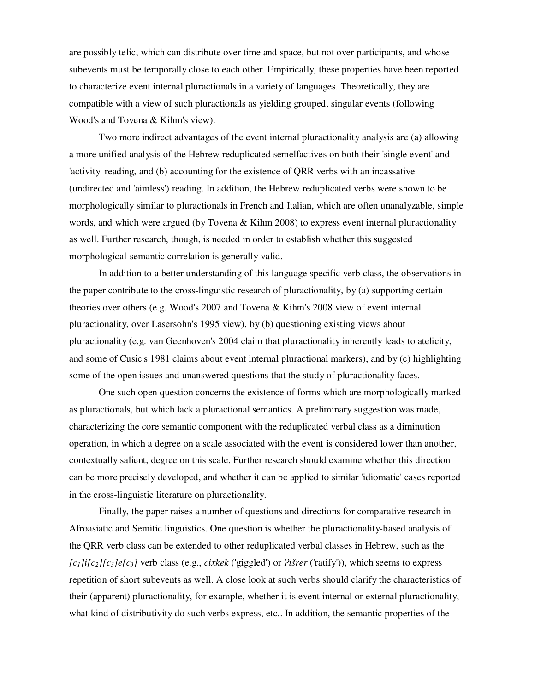are possibly telic, which can distribute over time and space, but not over participants, and whose subevents must be temporally close to each other. Empirically, these properties have been reported to characterize event internal pluractionals in a variety of languages. Theoretically, they are compatible with a view of such pluractionals as yielding grouped, singular events (following Wood's and Tovena & Kihm's view).

Two more indirect advantages of the event internal pluractionality analysis are (a) allowing a more unified analysis of the Hebrew reduplicated semelfactives on both their 'single event' and 'activity' reading, and (b) accounting for the existence of QRR verbs with an incassative (undirected and 'aimless') reading. In addition, the Hebrew reduplicated verbs were shown to be morphologically similar to pluractionals in French and Italian, which are often unanalyzable, simple words, and which were argued (by Tovena & Kihm 2008) to express event internal pluractionality as well. Further research, though, is needed in order to establish whether this suggested morphological-semantic correlation is generally valid.

 In addition to a better understanding of this language specific verb class, the observations in the paper contribute to the cross-linguistic research of pluractionality, by (a) supporting certain theories over others (e.g. Wood's 2007 and Tovena & Kihm's 2008 view of event internal pluractionality, over Lasersohn's 1995 view), by (b) questioning existing views about pluractionality (e.g. van Geenhoven's 2004 claim that pluractionality inherently leads to atelicity, and some of Cusic's 1981 claims about event internal pluractional markers), and by (c) highlighting some of the open issues and unanswered questions that the study of pluractionality faces.

One such open question concerns the existence of forms which are morphologically marked as pluractionals, but which lack a pluractional semantics. A preliminary suggestion was made, characterizing the core semantic component with the reduplicated verbal class as a diminution operation, in which a degree on a scale associated with the event is considered lower than another, contextually salient, degree on this scale. Further research should examine whether this direction can be more precisely developed, and whether it can be applied to similar 'idiomatic' cases reported in the cross-linguistic literature on pluractionality.

 Finally, the paper raises a number of questions and directions for comparative research in Afroasiatic and Semitic linguistics. One question is whether the pluractionality-based analysis of the QRR verb class can be extended to other reduplicated verbal classes in Hebrew, such as the  $[c_1[i[c_2][c_3]e[c_3]$  verb class (e.g., *cixkek* ('giggled') or  $\lambda$ *išrer* ('ratify')), which seems to express repetition of short subevents as well. A close look at such verbs should clarify the characteristics of their (apparent) pluractionality, for example, whether it is event internal or external pluractionality, what kind of distributivity do such verbs express, etc.. In addition, the semantic properties of the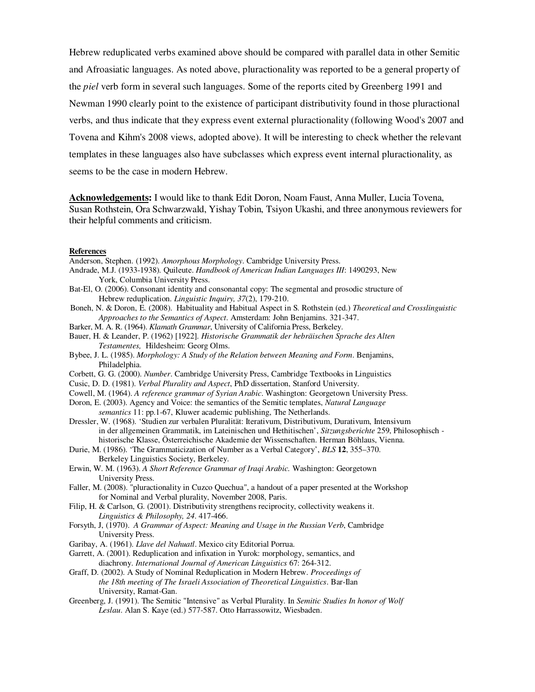Hebrew reduplicated verbs examined above should be compared with parallel data in other Semitic and Afroasiatic languages. As noted above, pluractionality was reported to be a general property of the *piel* verb form in several such languages. Some of the reports cited by Greenberg 1991 and Newman 1990 clearly point to the existence of participant distributivity found in those pluractional verbs, and thus indicate that they express event external pluractionality (following Wood's 2007 and Tovena and Kihm's 2008 views, adopted above). It will be interesting to check whether the relevant templates in these languages also have subclasses which express event internal pluractionality, as seems to be the case in modern Hebrew.

**Acknowledgements:** I would like to thank Edit Doron, Noam Faust, Anna Muller, Lucia Tovena, Susan Rothstein, Ora Schwarzwald, Yishay Tobin, Tsiyon Ukashi, and three anonymous reviewers for their helpful comments and criticism.

#### **References**

- Anderson, Stephen. (1992). *Amorphous Morphology*. Cambridge University Press.
- Andrade, M.J. (1933-1938). Quileute. *Handbook of American Indian Languages III*: 1490293, New York, Columbia University Press.
- Bat-El, O. (2006). Consonant identity and consonantal copy: The segmental and prosodic structure of Hebrew reduplication. *Linguistic Inquiry, 37*(2), 179-210.
- Boneh, N. & Doron, E. (2008). Habituality and Habitual Aspect in S. Rothstein (ed.) *Theoretical and Crosslinguistic Approaches to the Semantics of Aspect*. Amsterdam: John Benjamins. 321-347.
- Barker, M. A. R. (1964). *Klamath Grammar*, University of California Press, Berkeley.
- Bauer, H. & Leander, P. (1962) [1922]. *Historische Grammatik der hebräischen Sprache des Alten Testamentes,* Hildesheim: Georg Olms.
- Bybee, J. L. (1985). *Morphology: A Study of the Relation between Meaning and Form*. Benjamins, Philadelphia.
- Corbett, G. G. (2000). *Number*. Cambridge University Press, Cambridge Textbooks in Linguistics
- Cusic, D. D. (1981). *Verbal Plurality and Aspect*, PhD dissertation, Stanford University.
- Cowell, M. (1964). *A reference grammar of Syrian Arabic*. Washington: Georgetown University Press.
- Doron, E. (2003). Agency and Voice: the semantics of the Semitic templates, *Natural Language semantics* 11: pp.1-67, Kluwer academic publishing, The Netherlands.
- Dressler, W. (1968). 'Studien zur verbalen Pluralität: Iterativum, Distributivum, Durativum, Intensivum in der allgemeinen Grammatik, im Lateinischen und Hethitischen', *Sitzungsberichte* 259, Philosophisch historische Klasse, Österreichische Akademie der Wissenschaften. Herman Böhlaus, Vienna.
- Durie, M. (1986). 'The Grammaticization of Number as a Verbal Category', *BLS* **12**, 355–370. Berkeley Linguistics Society, Berkeley.
- Erwin, W. M. (1963). *A Short Reference Grammar of Iraqi Arabic.* Washington: Georgetown University Press.
- Faller, M. (2008). "pluractionality in Cuzco Quechua", a handout of a paper presented at the Workshop for Nominal and Verbal plurality, November 2008, Paris.
- Filip, H. & Carlson, G. (2001). Distributivity strengthens reciprocity, collectivity weakens it. *Linguistics & Philosophy, 24*. 417-466.
- Forsyth, J, (1970). *A Grammar of Aspect: Meaning and Usage in the Russian Verb*, Cambridge University Press.
- Garibay, A. (1961). *Llave del Nahuatl*. Mexico city Editorial Porrua.
- Garrett, A. (2001). Reduplication and infixation in Yurok: morphology, semantics, and diachrony. *International Journal of American Linguistics* 67: 264-312.
- Graff, D. (2002). A Study of Nominal Reduplication in Modern Hebrew. *Proceedings of the 18th meeting of The Israeli Association of Theoretical Linguistics*. Bar-Ilan University, Ramat-Gan.
- Greenberg, J. (1991). The Semitic "Intensive" as Verbal Plurality. In *Semitic Studies In honor of Wolf Leslau*. Alan S. Kaye (ed.) 577-587. Otto Harrassowitz, Wiesbaden.